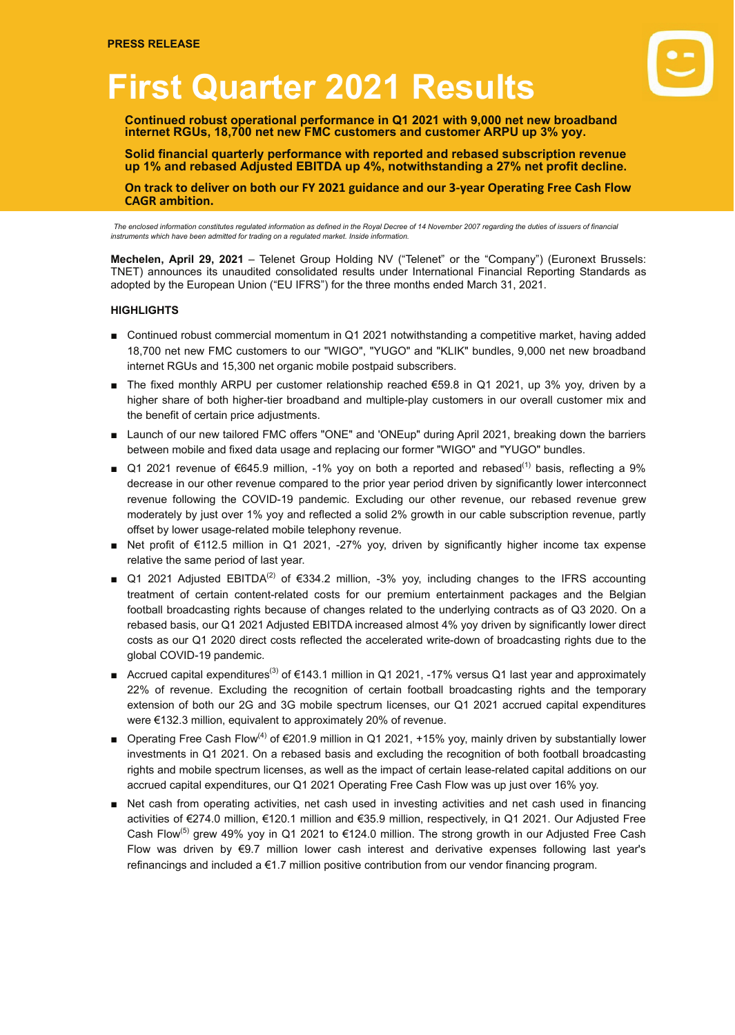# **First Quarter 2021 Results**

**Continued robust operational performance in Q1 2021 with 9,000 net new broadband internet RGUs, 18,700 net new FMC customers and customer ARPU up 3% yoy.**

**Solid financial quarterly performance with reported and rebased subscription revenue up 1% and rebased Adjusted EBITDA up 4%, notwithstanding a 27% net profit decline.**

On track to deliver on both our FY 2021 guidance and our 3-year Operating Free Cash Flow **CAGR ambition.**

*The enclosed information constitutes regulated information as defined in the Royal Decree of 14 November 2007 regarding the duties of issuers of financial instruments which have been admitted for trading on a regulated market. Inside information.*

**Mechelen, April 29, 2021** – Telenet Group Holding NV ("Telenet" or the "Company") (Euronext Brussels: TNET) announces its unaudited consolidated results under International Financial Reporting Standards as adopted by the European Union ("EU IFRS") for the three months ended March 31, 2021.

#### **HIGHLIGHTS**

- Continued robust commercial momentum in Q1 2021 notwithstanding a competitive market, having added 18,700 net new FMC customers to our "WIGO", "YUGO" and "KLIK" bundles, 9,000 net new broadband internet RGUs and 15,300 net organic mobile postpaid subscribers.
- The fixed monthly ARPU per customer relationship reached €59.8 in Q1 2021, up 3% yoy, driven by a higher share of both higher-tier broadband and multiple-play customers in our overall customer mix and the benefit of certain price adjustments.
- Launch of our new tailored FMC offers "ONE" and 'ONEup" during April 2021, breaking down the barriers between mobile and fixed data usage and replacing our former "WIGO" and "YUGO" bundles.
- Q1 2021 revenue of €645.9 million, -1% yoy on both a reported and rebased<sup>(1)</sup> basis, reflecting a 9% decrease in our other revenue compared to the prior year period driven by significantly lower interconnect revenue following the COVID-19 pandemic. Excluding our other revenue, our rebased revenue grew moderately by just over 1% yoy and reflected a solid 2% growth in our cable subscription revenue, partly offset by lower usage-related mobile telephony revenue.
- Net profit of €112.5 million in Q1 2021, -27% yoy, driven by significantly higher income tax expense relative the same period of last year.
- Q1 2021 Adjusted EBITDA<sup>(2)</sup> of €334.2 million, -3% yoy, including changes to the IFRS accounting treatment of certain content-related costs for our premium entertainment packages and the Belgian football broadcasting rights because of changes related to the underlying contracts as of Q3 2020. On a rebased basis, our Q1 2021 Adjusted EBITDA increased almost 4% yoy driven by significantly lower direct costs as our Q1 2020 direct costs reflected the accelerated write-down of broadcasting rights due to the global COVID-19 pandemic.
- Accrued capital expenditures<sup>(3)</sup> of €143.1 million in Q1 2021, -17% versus Q1 last year and approximately 22% of revenue. Excluding the recognition of certain football broadcasting rights and the temporary extension of both our 2G and 3G mobile spectrum licenses, our Q1 2021 accrued capital expenditures were €132.3 million, equivalent to approximately 20% of revenue.
- Operating Free Cash Flow<sup>(4)</sup> of €201.9 million in Q1 2021, +15% yoy, mainly driven by substantially lower investments in Q1 2021. On a rebased basis and excluding the recognition of both football broadcasting rights and mobile spectrum licenses, as well as the impact of certain lease-related capital additions on our accrued capital expenditures, our Q1 2021 Operating Free Cash Flow was up just over 16% yoy.
- Net cash from operating activities, net cash used in investing activities and net cash used in financing activities of €274.0 million, €120.1 million and €35.9 million, respectively, in Q1 2021. Our Adjusted Free Cash Flow<sup>(5)</sup> grew 49% yoy in Q1 2021 to €124.0 million. The strong growth in our Adjusted Free Cash Flow was driven by €9.7 million lower cash interest and derivative expenses following last year's refinancings and included a €1.7 million positive contribution from our vendor financing program.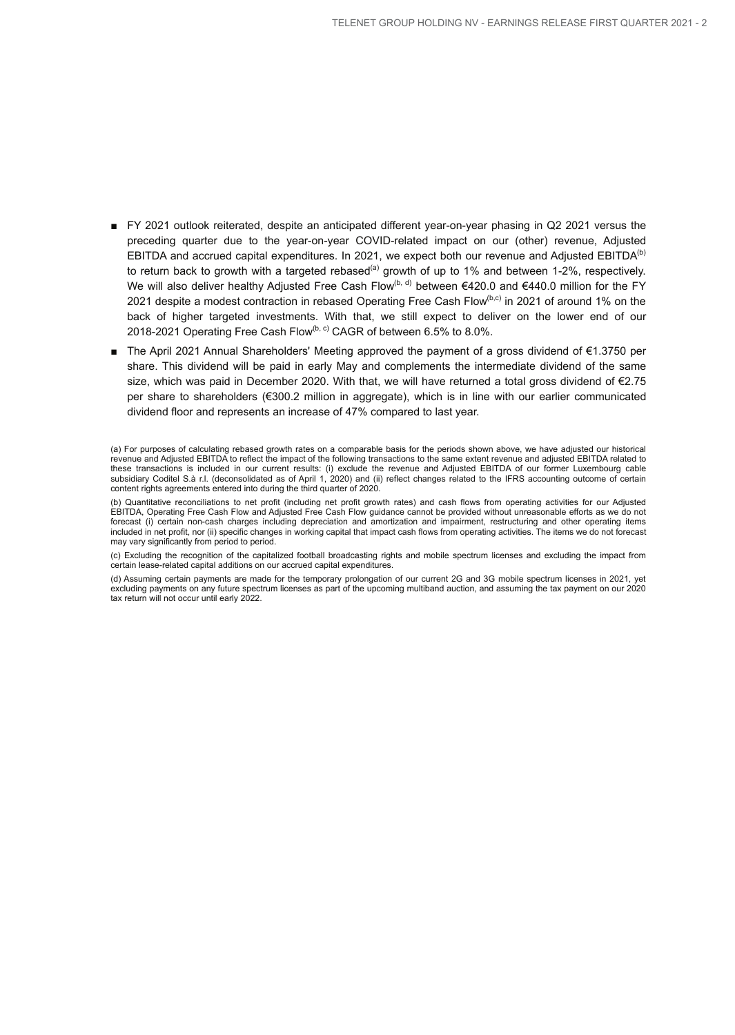- FY 2021 outlook reiterated, despite an anticipated different year-on-year phasing in Q2 2021 versus the preceding quarter due to the year-on-year COVID-related impact on our (other) revenue, Adjusted EBITDA and accrued capital expenditures. In 2021, we expect both our revenue and Adjusted EBITDA<sup>(b)</sup> to return back to growth with a targeted rebased<sup>(a)</sup> growth of up to 1% and between 1-2%, respectively. We will also deliver healthy Adjusted Free Cash Flow<sup>(b, d)</sup> between €420.0 and €440.0 million for the FY 2021 despite a modest contraction in rebased Operating Free Cash Flow<sup>(b,c)</sup> in 2021 of around 1% on the back of higher targeted investments. With that, we still expect to deliver on the lower end of our 2018-2021 Operating Free Cash Flow $^{(b, c)}$  CAGR of between 6.5% to 8.0%.
- The April 2021 Annual Shareholders' Meeting approved the payment of a gross dividend of €1.3750 per share. This dividend will be paid in early May and complements the intermediate dividend of the same size, which was paid in December 2020. With that, we will have returned a total gross dividend of €2.75 per share to shareholders (€300.2 million in aggregate), which is in line with our earlier communicated dividend floor and represents an increase of 47% compared to last year.

(a) For purposes of calculating rebased growth rates on a comparable basis for the periods shown above, we have adjusted our historical revenue and Adjusted EBITDA to reflect the impact of the following transactions to the same extent revenue and adjusted EBITDA related to these transactions is included in our current results: (i) exclude the revenue and Adjusted EBITDA of our former Luxembourg cable subsidiary Coditel S.à r.l. (deconsolidated as of April 1, 2020) and (ii) reflect changes related to the IFRS accounting outcome of certain content rights agreements entered into during the third quarter of 2020.

(b) Quantitative reconciliations to net profit (including net profit growth rates) and cash flows from operating activities for our Adjusted EBITDA, Operating Free Cash Flow and Adjusted Free Cash Flow guidance cannot be provided without unreasonable efforts as we do not forecast (i) certain non-cash charges including depreciation and amortization and impairment, restructuring and other operating items included in net profit, nor (ii) specific changes in working capital that impact cash flows from operating activities. The items we do not forecast may vary significantly from period to period.

(c) Excluding the recognition of the capitalized football broadcasting rights and mobile spectrum licenses and excluding the impact from certain lease-related capital additions on our accrued capital expenditures.

(d) Assuming certain payments are made for the temporary prolongation of our current 2G and 3G mobile spectrum licenses in 2021, yet excluding payments on any future spectrum licenses as part of the upcoming multiband auction, and assuming the tax payment on our 2020 tax return will not occur until early 2022.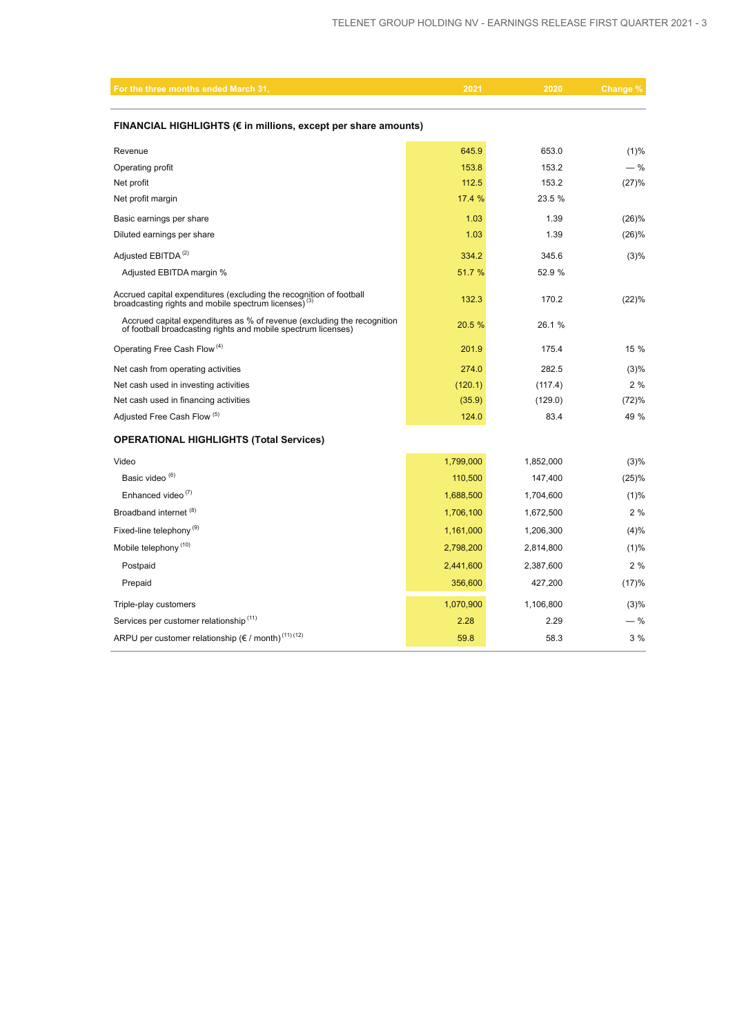| For the three months ended March 31,                                                                                                     | 2021      | 2020      | Change % |  |  |  |  |  |
|------------------------------------------------------------------------------------------------------------------------------------------|-----------|-----------|----------|--|--|--|--|--|
| FINANCIAL HIGHLIGHTS (€ in millions, except per share amounts)                                                                           |           |           |          |  |  |  |  |  |
| Revenue                                                                                                                                  | 645.9     | 653.0     | (1)%     |  |  |  |  |  |
| Operating profit                                                                                                                         | 153.8     | 153.2     | $-$ %    |  |  |  |  |  |
| Net profit                                                                                                                               | 112.5     | 153.2     | (27)%    |  |  |  |  |  |
| Net profit margin                                                                                                                        | 17.4 %    | 23.5 %    |          |  |  |  |  |  |
| Basic earnings per share                                                                                                                 | 1.03      | 1.39      | (26)%    |  |  |  |  |  |
| Diluted earnings per share                                                                                                               | 1.03      | 1.39      | (26)%    |  |  |  |  |  |
| Adjusted EBITDA <sup>(2)</sup>                                                                                                           | 334.2     | 345.6     | $(3)\%$  |  |  |  |  |  |
| Adjusted EBITDA margin %                                                                                                                 | 51.7 %    | 52.9 %    |          |  |  |  |  |  |
| Accrued capital expenditures (excluding the recognition of football<br>broadcasting rights and mobile spectrum licenses) <sup>(3)</sup>  | 132.3     | 170.2     | (22)%    |  |  |  |  |  |
| Accrued capital expenditures as % of revenue (excluding the recognition<br>of football broadcasting rights and mobile spectrum licenses) | 20.5 %    | 26.1 %    |          |  |  |  |  |  |
| Operating Free Cash Flow <sup>(4)</sup>                                                                                                  | 201.9     | 175.4     | 15 %     |  |  |  |  |  |
| Net cash from operating activities                                                                                                       | 274.0     | 282.5     | (3)%     |  |  |  |  |  |
| Net cash used in investing activities                                                                                                    | (120.1)   | (117.4)   | 2%       |  |  |  |  |  |
| Net cash used in financing activities                                                                                                    | (35.9)    | (129.0)   | (72)%    |  |  |  |  |  |
| Adjusted Free Cash Flow (5)                                                                                                              | 124.0     | 83.4      | 49 %     |  |  |  |  |  |
| <b>OPERATIONAL HIGHLIGHTS (Total Services)</b>                                                                                           |           |           |          |  |  |  |  |  |
| Video                                                                                                                                    | 1,799,000 | 1,852,000 | (3)%     |  |  |  |  |  |
| Basic video <sup>(6)</sup>                                                                                                               | 110,500   | 147,400   | (25)%    |  |  |  |  |  |
| Enhanced video <sup>(7)</sup>                                                                                                            | 1,688,500 | 1,704,600 | (1)%     |  |  |  |  |  |
| Broadband internet (8)                                                                                                                   | 1,706,100 | 1,672,500 | 2%       |  |  |  |  |  |
| Fixed-line telephony <sup>(9)</sup>                                                                                                      | 1,161,000 | 1,206,300 | (4)%     |  |  |  |  |  |
| Mobile telephony <sup>(10)</sup>                                                                                                         | 2,798,200 | 2,814,800 | (1)%     |  |  |  |  |  |
| Postpaid                                                                                                                                 | 2,441,600 | 2,387,600 | 2%       |  |  |  |  |  |
| Prepaid                                                                                                                                  | 356,600   | 427,200   | (17)%    |  |  |  |  |  |
| Triple-play customers                                                                                                                    | 1,070,900 | 1,106,800 | $(3)\%$  |  |  |  |  |  |
| Services per customer relationship <sup>(11)</sup>                                                                                       | 2.28      | 2.29      | $-$ %    |  |  |  |  |  |
| ARPU per customer relationship (€ / month) <sup>(11)(12)</sup>                                                                           | 59.8      | 58.3      | 3%       |  |  |  |  |  |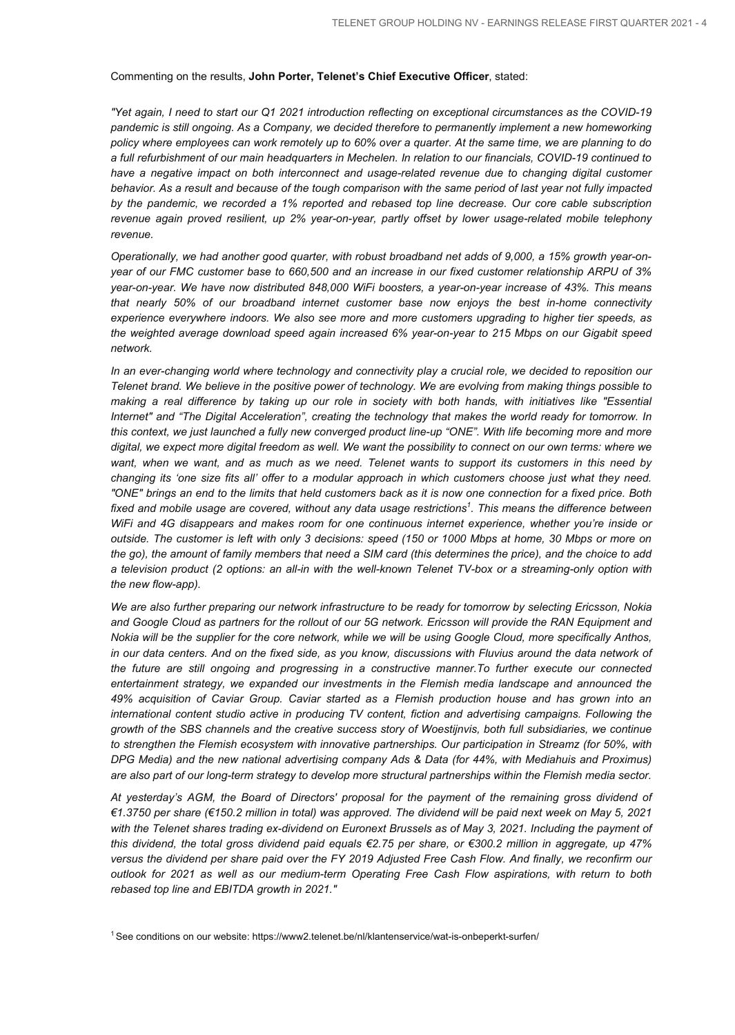#### Commenting on the results, **John Porter, Telenet's Chief Executive Officer**, stated:

*"Yet again, I need to start our Q1 2021 introduction reflecting on exceptional circumstances as the COVID-19 pandemic is still ongoing. As a Company, we decided therefore to permanently implement a new homeworking policy where employees can work remotely up to 60% over a quarter. At the same time, we are planning to do a full refurbishment of our main headquarters in Mechelen. In relation to our financials, COVID-19 continued to*  have a negative impact on both interconnect and usage-related revenue due to changing digital customer *behavior. As a result and because of the tough comparison with the same period of last year not fully impacted by the pandemic, we recorded a 1% reported and rebased top line decrease. Our core cable subscription revenue again proved resilient, up 2% year-on-year, partly offset by lower usage-related mobile telephony revenue.*

*Operationally, we had another good quarter, with robust broadband net adds of 9,000, a 15% growth year-onyear of our FMC customer base to 660,500 and an increase in our fixed customer relationship ARPU of 3% year-on-year. We have now distributed 848,000 WiFi boosters, a year-on-year increase of 43%. This means that nearly 50% of our broadband internet customer base now enjoys the best in-home connectivity experience everywhere indoors. We also see more and more customers upgrading to higher tier speeds, as the weighted average download speed again increased 6% year-on-year to 215 Mbps on our Gigabit speed network.*

*In an ever-changing world where technology and connectivity play a crucial role, we decided to reposition our Telenet brand. We believe in the positive power of technology. We are evolving from making things possible to making a real difference by taking up our role in society with both hands, with initiatives like "Essential Internet" and "The Digital Acceleration", creating the technology that makes the world ready for tomorrow. In this context, we just launched a fully new converged product line-up "ONE". With life becoming more and more digital, we expect more digital freedom as well. We want the possibility to connect on our own terms: where we want, when we want, and as much as we need. Telenet wants to support its customers in this need by changing its 'one size fits all' offer to a modular approach in which customers choose just what they need. "ONE" brings an end to the limits that held customers back as it is now one connection for a fixed price. Both fixed and mobile usage are covered, without any data usage restrictions<sup>1</sup> . This means the difference between WiFi and 4G disappears and makes room for one continuous internet experience, whether you're inside or outside. The customer is left with only 3 decisions: speed (150 or 1000 Mbps at home, 30 Mbps or more on the go), the amount of family members that need a SIM card (this determines the price), and the choice to add a television product (2 options: an all-in with the well-known Telenet TV-box or a streaming-only option with the new flow-app).*

*We are also further preparing our network infrastructure to be ready for tomorrow by selecting Ericsson, Nokia and Google Cloud as partners for the rollout of our 5G network. Ericsson will provide the RAN Equipment and Nokia will be the supplier for the core network, while we will be using Google Cloud, more specifically Anthos, in our data centers. And on the fixed side, as you know, discussions with Fluvius around the data network of the future are still ongoing and progressing in a constructive manner.To further execute our connected entertainment strategy, we expanded our investments in the Flemish media landscape and announced the 49% acquisition of Caviar Group. Caviar started as a Flemish production house and has grown into an international content studio active in producing TV content, fiction and advertising campaigns. Following the growth of the SBS channels and the creative success story of Woestijnvis, both full subsidiaries, we continue to strengthen the Flemish ecosystem with innovative partnerships. Our participation in Streamz (for 50%, with DPG Media) and the new national advertising company Ads & Data (for 44%, with Mediahuis and Proximus) are also part of our long-term strategy to develop more structural partnerships within the Flemish media sector.*

*At yesterday's AGM, the Board of Directors' proposal for the payment of the remaining gross dividend of €1.3750 per share (€150.2 million in total) was approved. The dividend will be paid next week on May 5, 2021*  with the Telenet shares trading ex-dividend on Euronext Brussels as of May 3, 2021. Including the payment of *this dividend, the total gross dividend paid equals €2.75 per share, or €300.2 million in aggregate, up 47% versus the dividend per share paid over the FY 2019 Adjusted Free Cash Flow. And finally, we reconfirm our outlook for 2021 as well as our medium-term Operating Free Cash Flow aspirations, with return to both rebased top line and EBITDA growth in 2021."*

<sup>1</sup>See conditions on our website: https://www2.telenet.be/nl/klantenservice/wat-is-onbeperkt-surfen/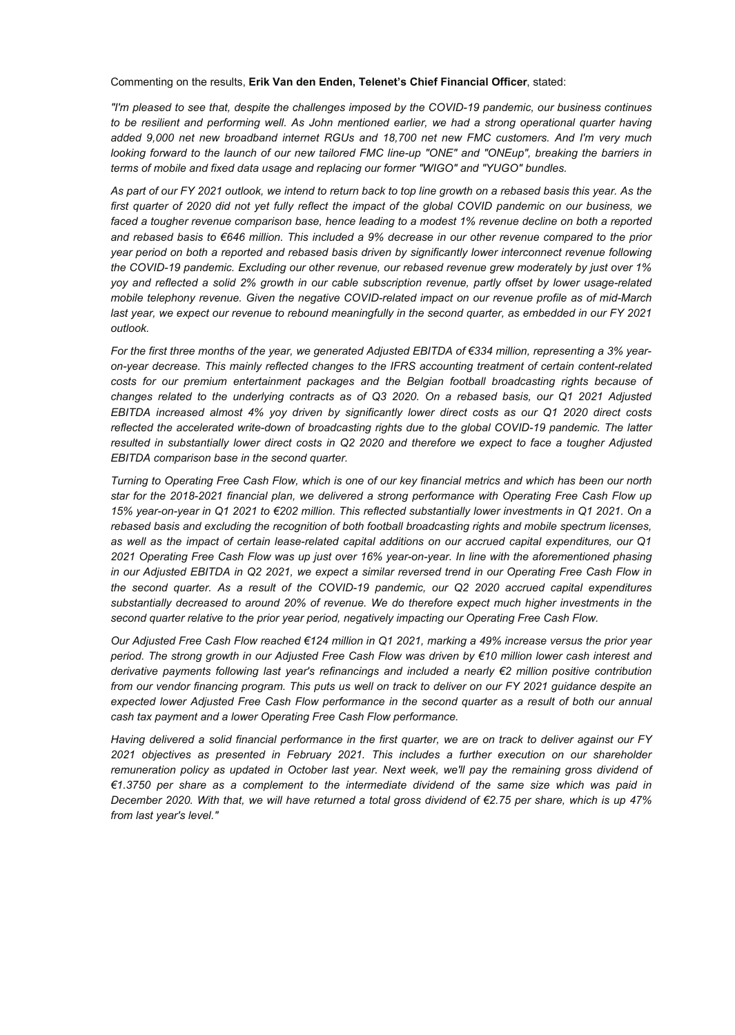Commenting on the results, **Erik Van den Enden, Telenet's Chief Financial Officer**, stated:

*"I'm pleased to see that, despite the challenges imposed by the COVID-19 pandemic, our business continues to be resilient and performing well. As John mentioned earlier, we had a strong operational quarter having added 9,000 net new broadband internet RGUs and 18,700 net new FMC customers. And I'm very much looking forward to the launch of our new tailored FMC line-up "ONE" and "ONEup", breaking the barriers in terms of mobile and fixed data usage and replacing our former "WIGO" and "YUGO" bundles.* 

*As part of our FY 2021 outlook, we intend to return back to top line growth on a rebased basis this year. As the first quarter of 2020 did not yet fully reflect the impact of the global COVID pandemic on our business, we faced a tougher revenue comparison base, hence leading to a modest 1% revenue decline on both a reported and rebased basis to €646 million. This included a 9% decrease in our other revenue compared to the prior year period on both a reported and rebased basis driven by significantly lower interconnect revenue following the COVID-19 pandemic. Excluding our other revenue, our rebased revenue grew moderately by just over 1% yoy and reflected a solid 2% growth in our cable subscription revenue, partly offset by lower usage-related mobile telephony revenue. Given the negative COVID-related impact on our revenue profile as of mid-March last year, we expect our revenue to rebound meaningfully in the second quarter, as embedded in our FY 2021 outlook.*

*For the first three months of the year, we generated Adjusted EBITDA of €334 million, representing a 3% yearon-year decrease. This mainly reflected changes to the IFRS accounting treatment of certain content-related costs for our premium entertainment packages and the Belgian football broadcasting rights because of changes related to the underlying contracts as of Q3 2020. On a rebased basis, our Q1 2021 Adjusted EBITDA increased almost 4% yoy driven by significantly lower direct costs as our Q1 2020 direct costs reflected the accelerated write-down of broadcasting rights due to the global COVID-19 pandemic. The latter resulted in substantially lower direct costs in Q2 2020 and therefore we expect to face a tougher Adjusted EBITDA comparison base in the second quarter.*

*Turning to Operating Free Cash Flow, which is one of our key financial metrics and which has been our north star for the 2018-2021 financial plan, we delivered a strong performance with Operating Free Cash Flow up 15% year-on-year in Q1 2021 to €202 million. This reflected substantially lower investments in Q1 2021. On a rebased basis and excluding the recognition of both football broadcasting rights and mobile spectrum licenses, as well as the impact of certain lease-related capital additions on our accrued capital expenditures, our Q1 2021 Operating Free Cash Flow was up just over 16% year-on-year. In line with the aforementioned phasing in our Adjusted EBITDA in Q2 2021, we expect a similar reversed trend in our Operating Free Cash Flow in the second quarter. As a result of the COVID-19 pandemic, our Q2 2020 accrued capital expenditures substantially decreased to around 20% of revenue. We do therefore expect much higher investments in the second quarter relative to the prior year period, negatively impacting our Operating Free Cash Flow.*

*Our Adjusted Free Cash Flow reached €124 million in Q1 2021, marking a 49% increase versus the prior year period. The strong growth in our Adjusted Free Cash Flow was driven by €10 million lower cash interest and derivative payments following last year's refinancings and included a nearly €2 million positive contribution from our vendor financing program. This puts us well on track to deliver on our FY 2021 guidance despite an expected lower Adjusted Free Cash Flow performance in the second quarter as a result of both our annual cash tax payment and a lower Operating Free Cash Flow performance.* 

*Having delivered a solid financial performance in the first quarter, we are on track to deliver against our FY 2021 objectives as presented in February 2021. This includes a further execution on our shareholder remuneration policy as updated in October last year. Next week, we'll pay the remaining gross dividend of €1.3750 per share as a complement to the intermediate dividend of the same size which was paid in December 2020. With that, we will have returned a total gross dividend of €2.75 per share, which is up 47% from last year's level."*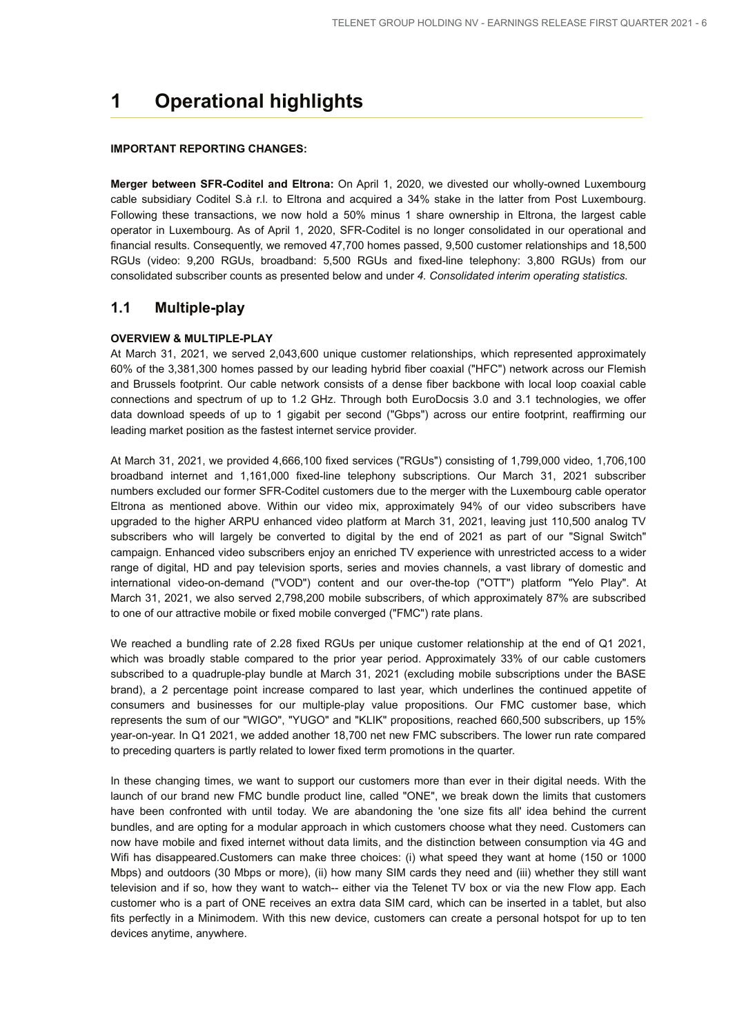## **1 Operational highlights**

#### **IMPORTANT REPORTING CHANGES:**

**Merger between SFR-Coditel and Eltrona:** On April 1, 2020, we divested our wholly-owned Luxembourg cable subsidiary Coditel S.à r.l. to Eltrona and acquired a 34% stake in the latter from Post Luxembourg. Following these transactions, we now hold a 50% minus 1 share ownership in Eltrona, the largest cable operator in Luxembourg. As of April 1, 2020, SFR-Coditel is no longer consolidated in our operational and financial results. Consequently, we removed 47,700 homes passed, 9,500 customer relationships and 18,500 RGUs (video: 9,200 RGUs, broadband: 5,500 RGUs and fixed-line telephony: 3,800 RGUs) from our consolidated subscriber counts as presented below and under *4. Consolidated interim operating statistics*.

#### **1.1 Multiple-play**

#### **OVERVIEW & MULTIPLE-PLAY**

At March 31, 2021, we served 2,043,600 unique customer relationships, which represented approximately 60% of the 3,381,300 homes passed by our leading hybrid fiber coaxial ("HFC") network across our Flemish and Brussels footprint. Our cable network consists of a dense fiber backbone with local loop coaxial cable connections and spectrum of up to 1.2 GHz. Through both EuroDocsis 3.0 and 3.1 technologies, we offer data download speeds of up to 1 gigabit per second ("Gbps") across our entire footprint, reaffirming our leading market position as the fastest internet service provider.

At March 31, 2021, we provided 4,666,100 fixed services ("RGUs") consisting of 1,799,000 video, 1,706,100 broadband internet and 1,161,000 fixed-line telephony subscriptions. Our March 31, 2021 subscriber numbers excluded our former SFR-Coditel customers due to the merger with the Luxembourg cable operator Eltrona as mentioned above. Within our video mix, approximately 94% of our video subscribers have upgraded to the higher ARPU enhanced video platform at March 31, 2021, leaving just 110,500 analog TV subscribers who will largely be converted to digital by the end of 2021 as part of our "Signal Switch" campaign. Enhanced video subscribers enjoy an enriched TV experience with unrestricted access to a wider range of digital, HD and pay television sports, series and movies channels, a vast library of domestic and international video-on-demand ("VOD") content and our over-the-top ("OTT") platform "Yelo Play". At March 31, 2021, we also served 2,798,200 mobile subscribers, of which approximately 87% are subscribed to one of our attractive mobile or fixed mobile converged ("FMC") rate plans.

We reached a bundling rate of 2.28 fixed RGUs per unique customer relationship at the end of Q1 2021, which was broadly stable compared to the prior year period. Approximately 33% of our cable customers subscribed to a quadruple-play bundle at March 31, 2021 (excluding mobile subscriptions under the BASE brand), a 2 percentage point increase compared to last year, which underlines the continued appetite of consumers and businesses for our multiple-play value propositions. Our FMC customer base, which represents the sum of our "WIGO", "YUGO" and "KLIK" propositions, reached 660,500 subscribers, up 15% year-on-year. In Q1 2021, we added another 18,700 net new FMC subscribers. The lower run rate compared to preceding quarters is partly related to lower fixed term promotions in the quarter.

In these changing times, we want to support our customers more than ever in their digital needs. With the launch of our brand new FMC bundle product line, called "ONE", we break down the limits that customers have been confronted with until today. We are abandoning the 'one size fits all' idea behind the current bundles, and are opting for a modular approach in which customers choose what they need. Customers can now have mobile and fixed internet without data limits, and the distinction between consumption via 4G and Wifi has disappeared.Customers can make three choices: (i) what speed they want at home (150 or 1000 Mbps) and outdoors (30 Mbps or more), (ii) how many SIM cards they need and (iii) whether they still want television and if so, how they want to watch-- either via the Telenet TV box or via the new Flow app. Each customer who is a part of ONE receives an extra data SIM card, which can be inserted in a tablet, but also fits perfectly in a Minimodem. With this new device, customers can create a personal hotspot for up to ten devices anytime, anywhere.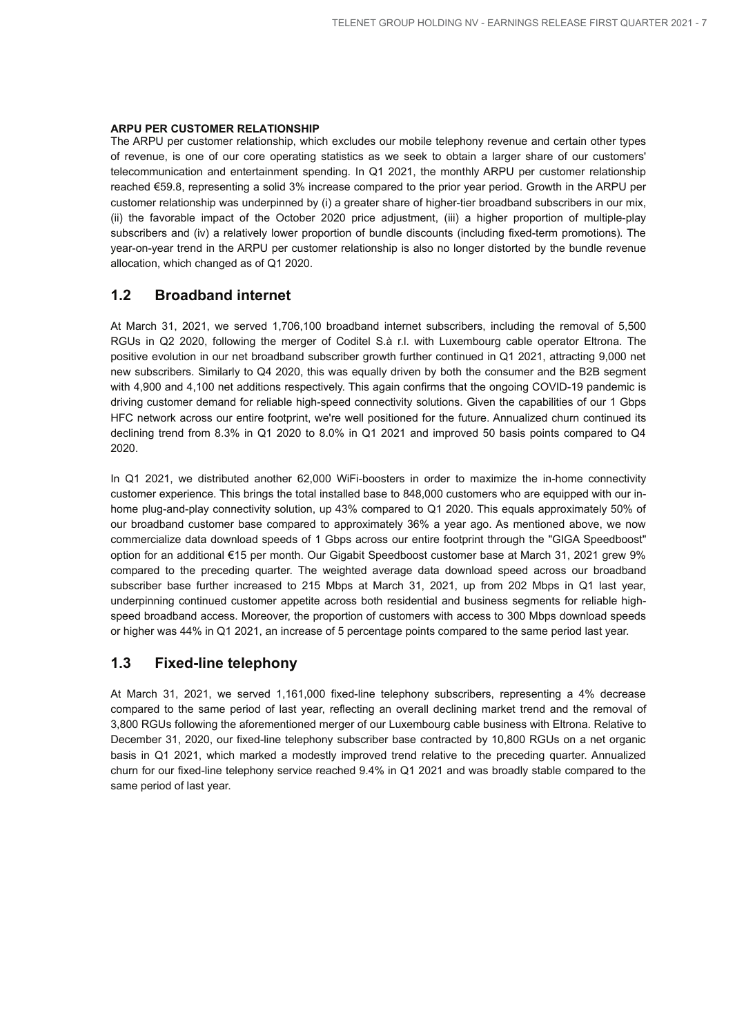#### **ARPU PER CUSTOMER RELATIONSHIP**

The ARPU per customer relationship, which excludes our mobile telephony revenue and certain other types of revenue, is one of our core operating statistics as we seek to obtain a larger share of our customers' telecommunication and entertainment spending. In Q1 2021, the monthly ARPU per customer relationship reached €59.8, representing a solid 3% increase compared to the prior year period. Growth in the ARPU per customer relationship was underpinned by (i) a greater share of higher-tier broadband subscribers in our mix, (ii) the favorable impact of the October 2020 price adjustment, (iii) a higher proportion of multiple-play subscribers and (iv) a relatively lower proportion of bundle discounts (including fixed-term promotions). The year-on-year trend in the ARPU per customer relationship is also no longer distorted by the bundle revenue allocation, which changed as of Q1 2020.

## **1.2 Broadband internet**

At March 31, 2021, we served 1,706,100 broadband internet subscribers, including the removal of 5,500 RGUs in Q2 2020, following the merger of Coditel S.à r.l. with Luxembourg cable operator Eltrona. The positive evolution in our net broadband subscriber growth further continued in Q1 2021, attracting 9,000 net new subscribers. Similarly to Q4 2020, this was equally driven by both the consumer and the B2B segment with 4,900 and 4,100 net additions respectively. This again confirms that the ongoing COVID-19 pandemic is driving customer demand for reliable high-speed connectivity solutions. Given the capabilities of our 1 Gbps HFC network across our entire footprint, we're well positioned for the future. Annualized churn continued its declining trend from 8.3% in Q1 2020 to 8.0% in Q1 2021 and improved 50 basis points compared to Q4 2020.

In Q1 2021, we distributed another 62,000 WiFi-boosters in order to maximize the in-home connectivity customer experience. This brings the total installed base to 848,000 customers who are equipped with our inhome plug-and-play connectivity solution, up 43% compared to Q1 2020. This equals approximately 50% of our broadband customer base compared to approximately 36% a year ago. As mentioned above, we now commercialize data download speeds of 1 Gbps across our entire footprint through the "GIGA Speedboost" option for an additional €15 per month. Our Gigabit Speedboost customer base at March 31, 2021 grew 9% compared to the preceding quarter. The weighted average data download speed across our broadband subscriber base further increased to 215 Mbps at March 31, 2021, up from 202 Mbps in Q1 last year, underpinning continued customer appetite across both residential and business segments for reliable highspeed broadband access. Moreover, the proportion of customers with access to 300 Mbps download speeds or higher was 44% in Q1 2021, an increase of 5 percentage points compared to the same period last year.

### **1.3 Fixed-line telephony**

At March 31, 2021, we served 1,161,000 fixed-line telephony subscribers, representing a 4% decrease compared to the same period of last year, reflecting an overall declining market trend and the removal of 3,800 RGUs following the aforementioned merger of our Luxembourg cable business with Eltrona. Relative to December 31, 2020, our fixed-line telephony subscriber base contracted by 10,800 RGUs on a net organic basis in Q1 2021, which marked a modestly improved trend relative to the preceding quarter. Annualized churn for our fixed-line telephony service reached 9.4% in Q1 2021 and was broadly stable compared to the same period of last year.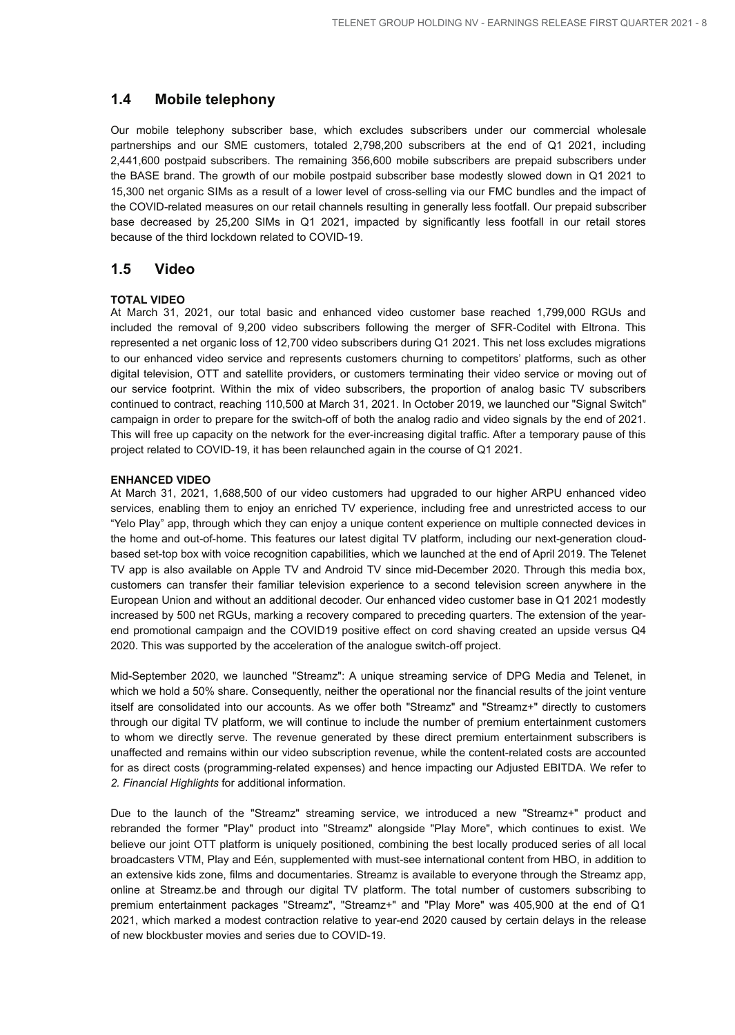## **1.4 Mobile telephony**

Our mobile telephony subscriber base, which excludes subscribers under our commercial wholesale partnerships and our SME customers, totaled 2,798,200 subscribers at the end of Q1 2021, including 2,441,600 postpaid subscribers. The remaining 356,600 mobile subscribers are prepaid subscribers under the BASE brand. The growth of our mobile postpaid subscriber base modestly slowed down in Q1 2021 to 15,300 net organic SIMs as a result of a lower level of cross-selling via our FMC bundles and the impact of the COVID-related measures on our retail channels resulting in generally less footfall. Our prepaid subscriber base decreased by 25,200 SIMs in Q1 2021, impacted by significantly less footfall in our retail stores because of the third lockdown related to COVID-19.

### **1.5 Video**

#### **TOTAL VIDEO**

At March 31, 2021, our total basic and enhanced video customer base reached 1,799,000 RGUs and included the removal of 9,200 video subscribers following the merger of SFR-Coditel with Eltrona. This represented a net organic loss of 12,700 video subscribers during Q1 2021. This net loss excludes migrations to our enhanced video service and represents customers churning to competitors' platforms, such as other digital television, OTT and satellite providers, or customers terminating their video service or moving out of our service footprint. Within the mix of video subscribers, the proportion of analog basic TV subscribers continued to contract, reaching 110,500 at March 31, 2021. In October 2019, we launched our "Signal Switch" campaign in order to prepare for the switch-off of both the analog radio and video signals by the end of 2021. This will free up capacity on the network for the ever-increasing digital traffic. After a temporary pause of this project related to COVID-19, it has been relaunched again in the course of Q1 2021.

#### **ENHANCED VIDEO**

At March 31, 2021, 1,688,500 of our video customers had upgraded to our higher ARPU enhanced video services, enabling them to enjoy an enriched TV experience, including free and unrestricted access to our "Yelo Play" app, through which they can enjoy a unique content experience on multiple connected devices in the home and out-of-home. This features our latest digital TV platform, including our next-generation cloudbased set-top box with voice recognition capabilities, which we launched at the end of April 2019. The Telenet TV app is also available on Apple TV and Android TV since mid-December 2020. Through this media box, customers can transfer their familiar television experience to a second television screen anywhere in the European Union and without an additional decoder. Our enhanced video customer base in Q1 2021 modestly increased by 500 net RGUs, marking a recovery compared to preceding quarters. The extension of the yearend promotional campaign and the COVID19 positive effect on cord shaving created an upside versus Q4 2020. This was supported by the acceleration of the analogue switch-off project.

Mid-September 2020, we launched "Streamz": A unique streaming service of DPG Media and Telenet, in which we hold a 50% share. Consequently, neither the operational nor the financial results of the joint venture itself are consolidated into our accounts. As we offer both "Streamz" and "Streamz+" directly to customers through our digital TV platform, we will continue to include the number of premium entertainment customers to whom we directly serve. The revenue generated by these direct premium entertainment subscribers is unaffected and remains within our video subscription revenue, while the content-related costs are accounted for as direct costs (programming-related expenses) and hence impacting our Adjusted EBITDA. We refer to *2. Financial Highlights* for additional information.

Due to the launch of the "Streamz" streaming service, we introduced a new "Streamz+" product and rebranded the former "Play" product into "Streamz" alongside "Play More", which continues to exist. We believe our joint OTT platform is uniquely positioned, combining the best locally produced series of all local broadcasters VTM, Play and Eén, supplemented with must-see international content from HBO, in addition to an extensive kids zone, films and documentaries. Streamz is available to everyone through the Streamz app, online at Streamz.be and through our digital TV platform. The total number of customers subscribing to premium entertainment packages "Streamz", "Streamz+" and "Play More" was 405,900 at the end of Q1 2021, which marked a modest contraction relative to year-end 2020 caused by certain delays in the release of new blockbuster movies and series due to COVID-19.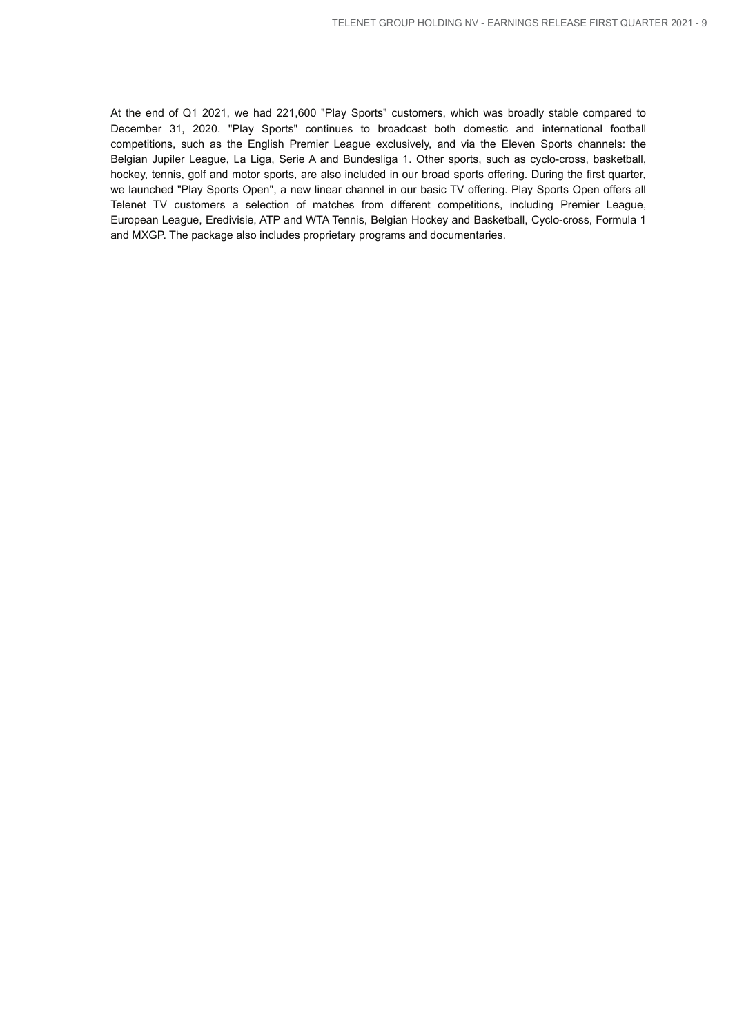At the end of Q1 2021, we had 221,600 "Play Sports" customers, which was broadly stable compared to December 31, 2020. "Play Sports" continues to broadcast both domestic and international football competitions, such as the English Premier League exclusively, and via the Eleven Sports channels: the Belgian Jupiler League, La Liga, Serie A and Bundesliga 1. Other sports, such as cyclo-cross, basketball, hockey, tennis, golf and motor sports, are also included in our broad sports offering. During the first quarter, we launched "Play Sports Open", a new linear channel in our basic TV offering. Play Sports Open offers all Telenet TV customers a selection of matches from different competitions, including Premier League, European League, Eredivisie, ATP and WTA Tennis, Belgian Hockey and Basketball, Cyclo-cross, Formula 1 and MXGP. The package also includes proprietary programs and documentaries.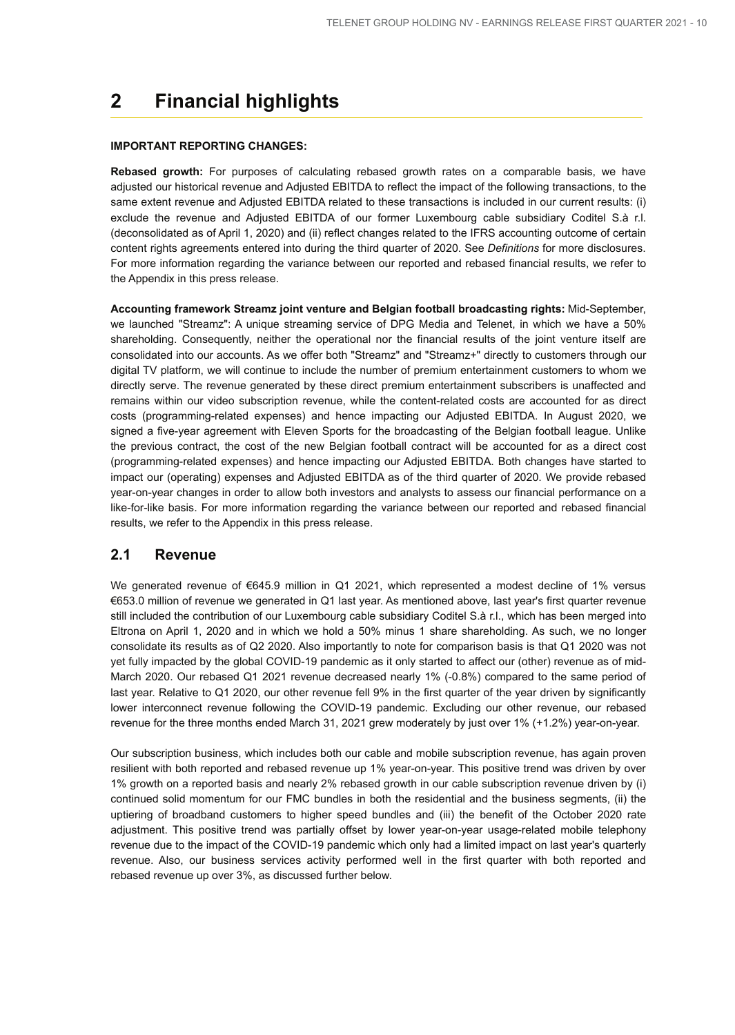## **2 Financial highlights**

#### **IMPORTANT REPORTING CHANGES:**

**Rebased growth:** For purposes of calculating rebased growth rates on a comparable basis, we have adjusted our historical revenue and Adjusted EBITDA to reflect the impact of the following transactions, to the same extent revenue and Adjusted EBITDA related to these transactions is included in our current results: (i) exclude the revenue and Adjusted EBITDA of our former Luxembourg cable subsidiary Coditel S.à r.l. (deconsolidated as of April 1, 2020) and (ii) reflect changes related to the IFRS accounting outcome of certain content rights agreements entered into during the third quarter of 2020. See *Definitions* for more disclosures. For more information regarding the variance between our reported and rebased financial results, we refer to the Appendix in this press release.

**Accounting framework Streamz joint venture and Belgian football broadcasting rights:** Mid-September, we launched "Streamz": A unique streaming service of DPG Media and Telenet, in which we have a 50% shareholding. Consequently, neither the operational nor the financial results of the joint venture itself are consolidated into our accounts. As we offer both "Streamz" and "Streamz+" directly to customers through our digital TV platform, we will continue to include the number of premium entertainment customers to whom we directly serve. The revenue generated by these direct premium entertainment subscribers is unaffected and remains within our video subscription revenue, while the content-related costs are accounted for as direct costs (programming-related expenses) and hence impacting our Adjusted EBITDA. In August 2020, we signed a five-year agreement with Eleven Sports for the broadcasting of the Belgian football league. Unlike the previous contract, the cost of the new Belgian football contract will be accounted for as a direct cost (programming-related expenses) and hence impacting our Adjusted EBITDA. Both changes have started to impact our (operating) expenses and Adjusted EBITDA as of the third quarter of 2020. We provide rebased year-on-year changes in order to allow both investors and analysts to assess our financial performance on a like-for-like basis. For more information regarding the variance between our reported and rebased financial results, we refer to the Appendix in this press release.

### **2.1 Revenue**

We generated revenue of €645.9 million in Q1 2021, which represented a modest decline of 1% versus €653.0 million of revenue we generated in Q1 last year. As mentioned above, last year's first quarter revenue still included the contribution of our Luxembourg cable subsidiary Coditel S.à r.l., which has been merged into Eltrona on April 1, 2020 and in which we hold a 50% minus 1 share shareholding. As such, we no longer consolidate its results as of Q2 2020. Also importantly to note for comparison basis is that Q1 2020 was not yet fully impacted by the global COVID-19 pandemic as it only started to affect our (other) revenue as of mid-March 2020. Our rebased Q1 2021 revenue decreased nearly 1% (-0.8%) compared to the same period of last year. Relative to Q1 2020, our other revenue fell 9% in the first quarter of the year driven by significantly lower interconnect revenue following the COVID-19 pandemic. Excluding our other revenue, our rebased revenue for the three months ended March 31, 2021 grew moderately by just over 1% (+1.2%) year-on-year.

Our subscription business, which includes both our cable and mobile subscription revenue, has again proven resilient with both reported and rebased revenue up 1% year-on-year. This positive trend was driven by over 1% growth on a reported basis and nearly 2% rebased growth in our cable subscription revenue driven by (i) continued solid momentum for our FMC bundles in both the residential and the business segments, (ii) the uptiering of broadband customers to higher speed bundles and (iii) the benefit of the October 2020 rate adjustment. This positive trend was partially offset by lower year-on-year usage-related mobile telephony revenue due to the impact of the COVID-19 pandemic which only had a limited impact on last year's quarterly revenue. Also, our business services activity performed well in the first quarter with both reported and rebased revenue up over 3%, as discussed further below.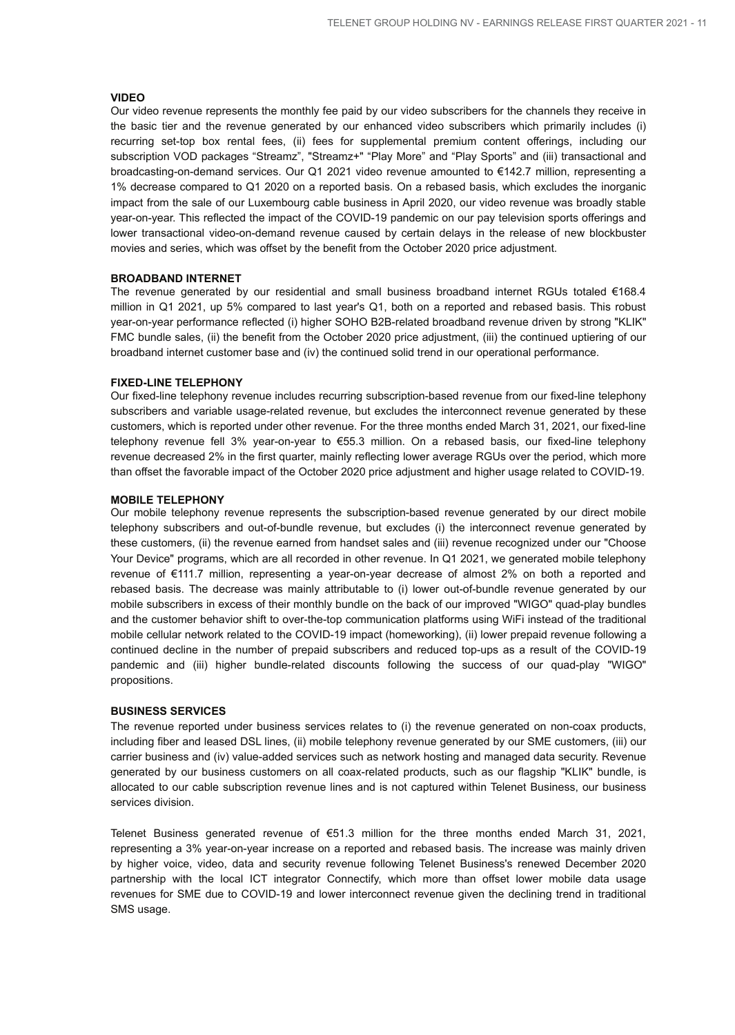#### **VIDEO**

Our video revenue represents the monthly fee paid by our video subscribers for the channels they receive in the basic tier and the revenue generated by our enhanced video subscribers which primarily includes (i) recurring set-top box rental fees, (ii) fees for supplemental premium content offerings, including our subscription VOD packages "Streamz", "Streamz+" "Play More" and "Play Sports" and (iii) transactional and broadcasting-on-demand services. Our Q1 2021 video revenue amounted to €142.7 million, representing a 1% decrease compared to Q1 2020 on a reported basis. On a rebased basis, which excludes the inorganic impact from the sale of our Luxembourg cable business in April 2020, our video revenue was broadly stable year-on-year. This reflected the impact of the COVID-19 pandemic on our pay television sports offerings and lower transactional video-on-demand revenue caused by certain delays in the release of new blockbuster movies and series, which was offset by the benefit from the October 2020 price adjustment.

#### **BROADBAND INTERNET**

The revenue generated by our residential and small business broadband internet RGUs totaled €168.4 million in Q1 2021, up 5% compared to last year's Q1, both on a reported and rebased basis. This robust year-on-year performance reflected (i) higher SOHO B2B-related broadband revenue driven by strong "KLIK" FMC bundle sales, (ii) the benefit from the October 2020 price adjustment, (iii) the continued uptiering of our broadband internet customer base and (iv) the continued solid trend in our operational performance.

#### **FIXED-LINE TELEPHONY**

Our fixed-line telephony revenue includes recurring subscription-based revenue from our fixed-line telephony subscribers and variable usage-related revenue, but excludes the interconnect revenue generated by these customers, which is reported under other revenue. For the three months ended March 31, 2021, our fixed-line telephony revenue fell 3% year-on-year to €55.3 million. On a rebased basis, our fixed-line telephony revenue decreased 2% in the first quarter, mainly reflecting lower average RGUs over the period, which more than offset the favorable impact of the October 2020 price adjustment and higher usage related to COVID-19.

#### **MOBILE TELEPHONY**

Our mobile telephony revenue represents the subscription-based revenue generated by our direct mobile telephony subscribers and out-of-bundle revenue, but excludes (i) the interconnect revenue generated by these customers, (ii) the revenue earned from handset sales and (iii) revenue recognized under our "Choose Your Device" programs, which are all recorded in other revenue. In Q1 2021, we generated mobile telephony revenue of €111.7 million, representing a year-on-year decrease of almost 2% on both a reported and rebased basis. The decrease was mainly attributable to (i) lower out-of-bundle revenue generated by our mobile subscribers in excess of their monthly bundle on the back of our improved "WIGO" quad-play bundles and the customer behavior shift to over-the-top communication platforms using WiFi instead of the traditional mobile cellular network related to the COVID-19 impact (homeworking), (ii) lower prepaid revenue following a continued decline in the number of prepaid subscribers and reduced top-ups as a result of the COVID-19 pandemic and (iii) higher bundle-related discounts following the success of our quad-play "WIGO" propositions.

#### **BUSINESS SERVICES**

The revenue reported under business services relates to (i) the revenue generated on non-coax products, including fiber and leased DSL lines, (ii) mobile telephony revenue generated by our SME customers, (iii) our carrier business and (iv) value-added services such as network hosting and managed data security. Revenue generated by our business customers on all coax-related products, such as our flagship "KLIK" bundle, is allocated to our cable subscription revenue lines and is not captured within Telenet Business, our business services division.

Telenet Business generated revenue of €51.3 million for the three months ended March 31, 2021, representing a 3% year-on-year increase on a reported and rebased basis. The increase was mainly driven by higher voice, video, data and security revenue following Telenet Business's renewed December 2020 partnership with the local ICT integrator Connectify, which more than offset lower mobile data usage revenues for SME due to COVID-19 and lower interconnect revenue given the declining trend in traditional SMS usage.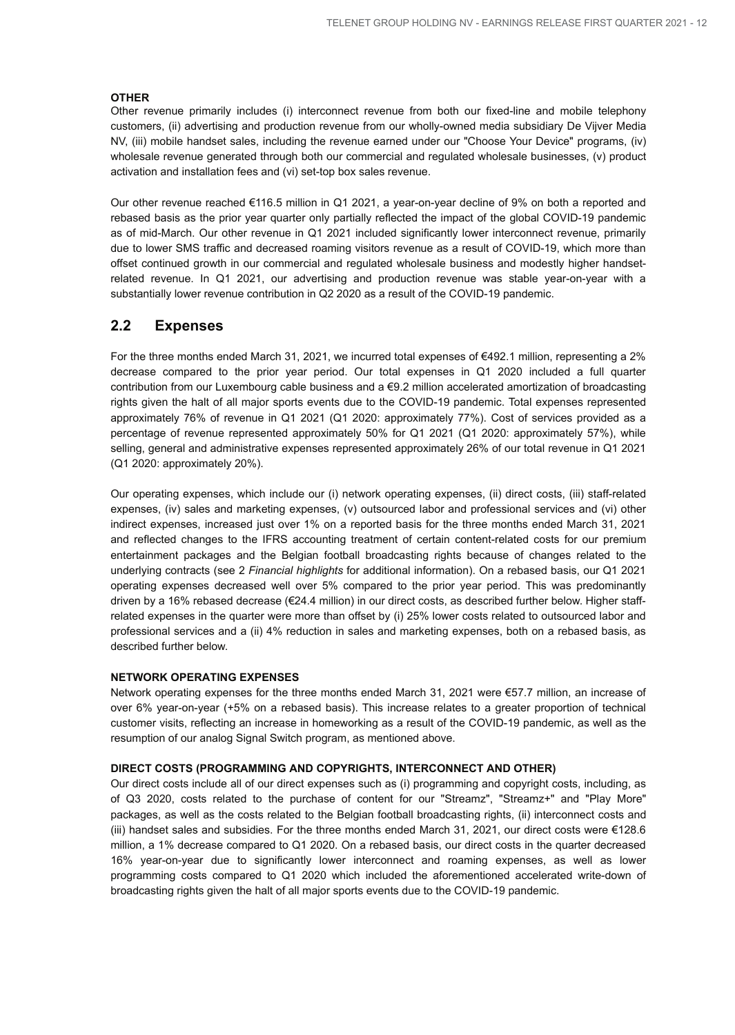#### **OTHER**

Other revenue primarily includes (i) interconnect revenue from both our fixed-line and mobile telephony customers, (ii) advertising and production revenue from our wholly-owned media subsidiary De Vijver Media NV, (iii) mobile handset sales, including the revenue earned under our "Choose Your Device" programs, (iv) wholesale revenue generated through both our commercial and regulated wholesale businesses, (v) product activation and installation fees and (vi) set-top box sales revenue.

Our other revenue reached €116.5 million in Q1 2021, a year-on-year decline of 9% on both a reported and rebased basis as the prior year quarter only partially reflected the impact of the global COVID-19 pandemic as of mid-March. Our other revenue in Q1 2021 included significantly lower interconnect revenue, primarily due to lower SMS traffic and decreased roaming visitors revenue as a result of COVID-19, which more than offset continued growth in our commercial and regulated wholesale business and modestly higher handsetrelated revenue. In Q1 2021, our advertising and production revenue was stable year-on-year with a substantially lower revenue contribution in Q2 2020 as a result of the COVID-19 pandemic.

## **2.2 Expenses**

For the three months ended March 31, 2021, we incurred total expenses of €492.1 million, representing a 2% decrease compared to the prior year period. Our total expenses in Q1 2020 included a full quarter contribution from our Luxembourg cable business and a €9.2 million accelerated amortization of broadcasting rights given the halt of all major sports events due to the COVID-19 pandemic. Total expenses represented approximately 76% of revenue in Q1 2021 (Q1 2020: approximately 77%). Cost of services provided as a percentage of revenue represented approximately 50% for Q1 2021 (Q1 2020: approximately 57%), while selling, general and administrative expenses represented approximately 26% of our total revenue in Q1 2021 (Q1 2020: approximately 20%).

Our operating expenses, which include our (i) network operating expenses, (ii) direct costs, (iii) staff-related expenses, (iv) sales and marketing expenses, (v) outsourced labor and professional services and (vi) other indirect expenses, increased just over 1% on a reported basis for the three months ended March 31, 2021 and reflected changes to the IFRS accounting treatment of certain content-related costs for our premium entertainment packages and the Belgian football broadcasting rights because of changes related to the underlying contracts (see 2 *Financial highlights* for additional information). On a rebased basis, our Q1 2021 operating expenses decreased well over 5% compared to the prior year period. This was predominantly driven by a 16% rebased decrease (€24.4 million) in our direct costs, as described further below. Higher staffrelated expenses in the quarter were more than offset by (i) 25% lower costs related to outsourced labor and professional services and a (ii) 4% reduction in sales and marketing expenses, both on a rebased basis, as described further below.

#### **NETWORK OPERATING EXPENSES**

Network operating expenses for the three months ended March 31, 2021 were €57.7 million, an increase of over 6% year-on-year (+5% on a rebased basis). This increase relates to a greater proportion of technical customer visits, reflecting an increase in homeworking as a result of the COVID-19 pandemic, as well as the resumption of our analog Signal Switch program, as mentioned above.

#### **DIRECT COSTS (PROGRAMMING AND COPYRIGHTS, INTERCONNECT AND OTHER)**

Our direct costs include all of our direct expenses such as (i) programming and copyright costs, including, as of Q3 2020, costs related to the purchase of content for our "Streamz", "Streamz+" and "Play More" packages, as well as the costs related to the Belgian football broadcasting rights, (ii) interconnect costs and (iii) handset sales and subsidies. For the three months ended March 31, 2021, our direct costs were €128.6 million, a 1% decrease compared to Q1 2020. On a rebased basis, our direct costs in the quarter decreased 16% year-on-year due to significantly lower interconnect and roaming expenses, as well as lower programming costs compared to Q1 2020 which included the aforementioned accelerated write-down of broadcasting rights given the halt of all major sports events due to the COVID-19 pandemic.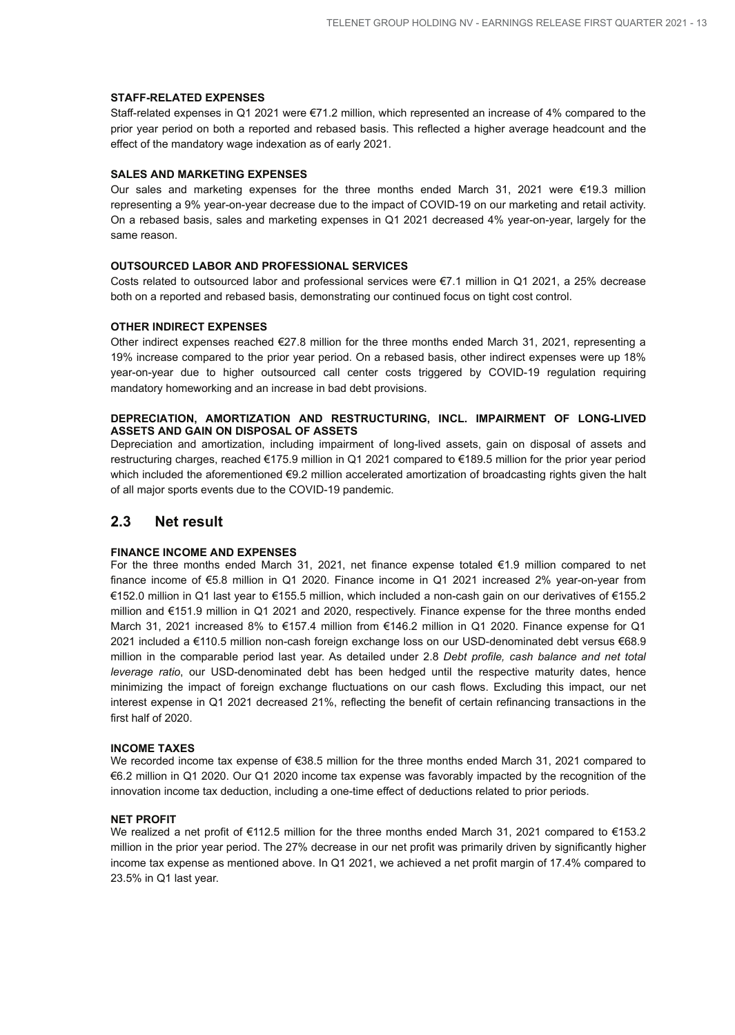#### **STAFF-RELATED EXPENSES**

Staff-related expenses in Q1 2021 were €71.2 million, which represented an increase of 4% compared to the prior year period on both a reported and rebased basis. This reflected a higher average headcount and the effect of the mandatory wage indexation as of early 2021.

#### **SALES AND MARKETING EXPENSES**

Our sales and marketing expenses for the three months ended March 31, 2021 were €19.3 million representing a 9% year-on-year decrease due to the impact of COVID-19 on our marketing and retail activity. On a rebased basis, sales and marketing expenses in Q1 2021 decreased 4% year-on-year, largely for the same reason.

#### **OUTSOURCED LABOR AND PROFESSIONAL SERVICES**

Costs related to outsourced labor and professional services were €7.1 million in Q1 2021, a 25% decrease both on a reported and rebased basis, demonstrating our continued focus on tight cost control.

#### **OTHER INDIRECT EXPENSES**

Other indirect expenses reached €27.8 million for the three months ended March 31, 2021, representing a 19% increase compared to the prior year period. On a rebased basis, other indirect expenses were up 18% year-on-year due to higher outsourced call center costs triggered by COVID-19 regulation requiring mandatory homeworking and an increase in bad debt provisions.

#### **DEPRECIATION, AMORTIZATION AND RESTRUCTURING, INCL. IMPAIRMENT OF LONG-LIVED ASSETS AND GAIN ON DISPOSAL OF ASSETS**

Depreciation and amortization, including impairment of long-lived assets, gain on disposal of assets and restructuring charges, reached €175.9 million in Q1 2021 compared to €189.5 million for the prior year period which included the aforementioned €9.2 million accelerated amortization of broadcasting rights given the halt of all major sports events due to the COVID-19 pandemic.

#### **2.3 Net result**

#### **FINANCE INCOME AND EXPENSES**

For the three months ended March 31, 2021, net finance expense totaled €1.9 million compared to net finance income of €5.8 million in Q1 2020. Finance income in Q1 2021 increased 2% year-on-year from €152.0 million in Q1 last year to €155.5 million, which included a non-cash gain on our derivatives of €155.2 million and €151.9 million in Q1 2021 and 2020, respectively. Finance expense for the three months ended March 31, 2021 increased 8% to €157.4 million from €146.2 million in Q1 2020. Finance expense for Q1 2021 included a €110.5 million non-cash foreign exchange loss on our USD-denominated debt versus €68.9 million in the comparable period last year. As detailed under 2.8 *Debt profile, cash balance and net total leverage ratio*, our USD-denominated debt has been hedged until the respective maturity dates, hence minimizing the impact of foreign exchange fluctuations on our cash flows. Excluding this impact, our net interest expense in Q1 2021 decreased 21%, reflecting the benefit of certain refinancing transactions in the first half of 2020.

#### **INCOME TAXES**

We recorded income tax expense of €38.5 million for the three months ended March 31, 2021 compared to €6.2 million in Q1 2020. Our Q1 2020 income tax expense was favorably impacted by the recognition of the innovation income tax deduction, including a one-time effect of deductions related to prior periods.

#### **NET PROFIT**

We realized a net profit of €112.5 million for the three months ended March 31, 2021 compared to €153.2 million in the prior year period. The 27% decrease in our net profit was primarily driven by significantly higher income tax expense as mentioned above. In Q1 2021, we achieved a net profit margin of 17.4% compared to 23.5% in Q1 last year.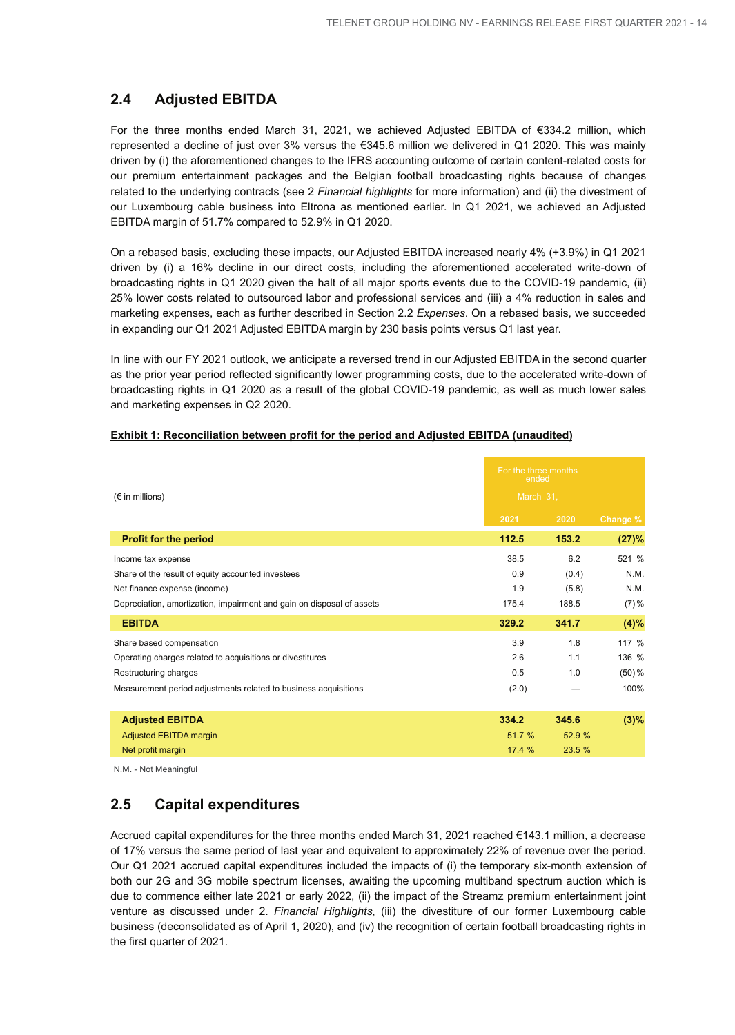## **2.4 Adjusted EBITDA**

For the three months ended March 31, 2021, we achieved Adjusted EBITDA of €334.2 million, which represented a decline of just over 3% versus the €345.6 million we delivered in Q1 2020. This was mainly driven by (i) the aforementioned changes to the IFRS accounting outcome of certain content-related costs for our premium entertainment packages and the Belgian football broadcasting rights because of changes related to the underlying contracts (see 2 *Financial highlights* for more information) and (ii) the divestment of our Luxembourg cable business into Eltrona as mentioned earlier. In Q1 2021, we achieved an Adjusted EBITDA margin of 51.7% compared to 52.9% in Q1 2020.

On a rebased basis, excluding these impacts, our Adjusted EBITDA increased nearly 4% (+3.9%) in Q1 2021 driven by (i) a 16% decline in our direct costs, including the aforementioned accelerated write-down of broadcasting rights in Q1 2020 given the halt of all major sports events due to the COVID-19 pandemic, (ii) 25% lower costs related to outsourced labor and professional services and (iii) a 4% reduction in sales and marketing expenses, each as further described in Section 2.2 *Expenses*. On a rebased basis, we succeeded in expanding our Q1 2021 Adjusted EBITDA margin by 230 basis points versus Q1 last year.

In line with our FY 2021 outlook, we anticipate a reversed trend in our Adjusted EBITDA in the second quarter as the prior year period reflected significantly lower programming costs, due to the accelerated write-down of broadcasting rights in Q1 2020 as a result of the global COVID-19 pandemic, as well as much lower sales and marketing expenses in Q2 2020.

|                                                                       | For the three months<br>ended |        |           |
|-----------------------------------------------------------------------|-------------------------------|--------|-----------|
| $(\epsilon$ in millions)                                              | March 31,                     |        |           |
|                                                                       | 2021                          | 2020   | Change %  |
| <b>Profit for the period</b>                                          | 112.5                         | 153.2  | (27)%     |
| Income tax expense                                                    | 38.5                          | 6.2    | 521 %     |
| Share of the result of equity accounted investees                     | 0.9                           | (0.4)  | N.M.      |
| Net finance expense (income)                                          | 1.9                           | (5.8)  | N.M.      |
| Depreciation, amortization, impairment and gain on disposal of assets | 175.4                         | 188.5  | $(7) \%$  |
| <b>EBITDA</b>                                                         | 329.2                         | 341.7  | $(4)\%$   |
| Share based compensation                                              | 3.9                           | 1.8    | 117 %     |
| Operating charges related to acquisitions or divestitures             | 2.6                           | 1.1    | 136 %     |
| Restructuring charges                                                 | 0.5                           | 1.0    | $(50) \%$ |
| Measurement period adjustments related to business acquisitions       | (2.0)                         |        | 100%      |
|                                                                       |                               |        |           |
| <b>Adjusted EBITDA</b>                                                | 334.2                         | 345.6  | $(3)\%$   |
| <b>Adjusted EBITDA margin</b>                                         | 51.7 %                        | 52.9 % |           |
| Net profit margin                                                     | 17.4%                         | 23.5%  |           |

#### **Exhibit 1: Reconciliation between profit for the period and Adjusted EBITDA (unaudited)**

N.M. - Not Meaningful

## **2.5 Capital expenditures**

Accrued capital expenditures for the three months ended March 31, 2021 reached €143.1 million, a decrease of 17% versus the same period of last year and equivalent to approximately 22% of revenue over the period. Our Q1 2021 accrued capital expenditures included the impacts of (i) the temporary six-month extension of both our 2G and 3G mobile spectrum licenses, awaiting the upcoming multiband spectrum auction which is due to commence either late 2021 or early 2022, (ii) the impact of the Streamz premium entertainment joint venture as discussed under 2. *Financial Highlights*, (iii) the divestiture of our former Luxembourg cable business (deconsolidated as of April 1, 2020), and (iv) the recognition of certain football broadcasting rights in the first quarter of 2021.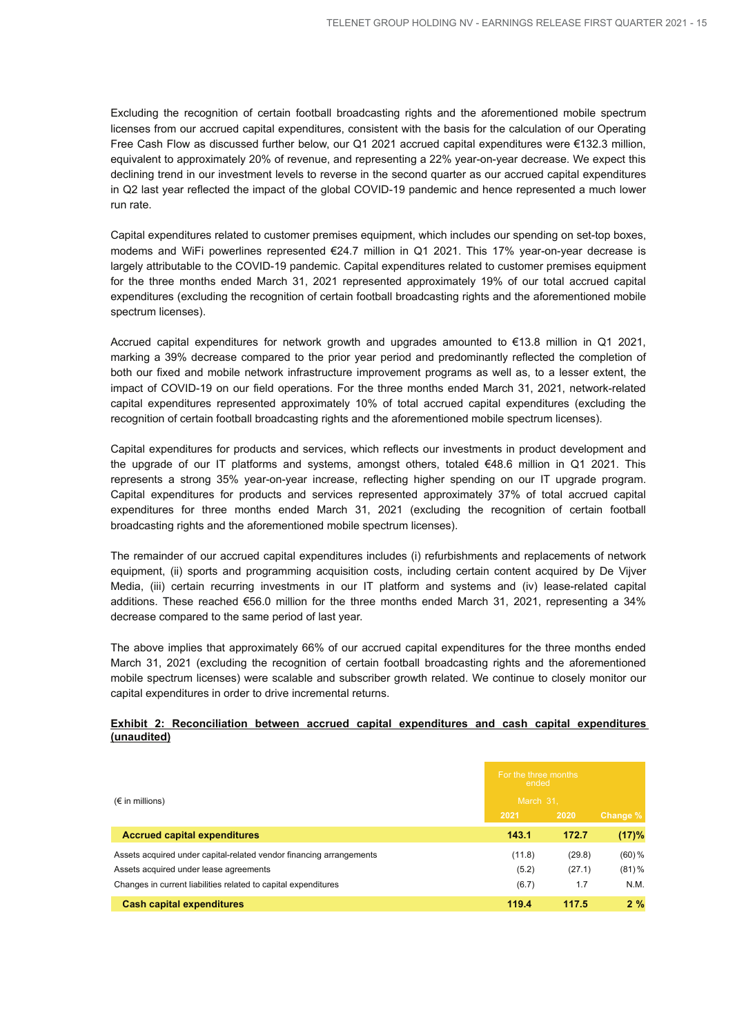Excluding the recognition of certain football broadcasting rights and the aforementioned mobile spectrum licenses from our accrued capital expenditures, consistent with the basis for the calculation of our Operating Free Cash Flow as discussed further below, our Q1 2021 accrued capital expenditures were €132.3 million, equivalent to approximately 20% of revenue, and representing a 22% year-on-year decrease. We expect this declining trend in our investment levels to reverse in the second quarter as our accrued capital expenditures in Q2 last year reflected the impact of the global COVID-19 pandemic and hence represented a much lower run rate.

Capital expenditures related to customer premises equipment, which includes our spending on set-top boxes, modems and WiFi powerlines represented €24.7 million in Q1 2021. This 17% year-on-year decrease is largely attributable to the COVID-19 pandemic. Capital expenditures related to customer premises equipment for the three months ended March 31, 2021 represented approximately 19% of our total accrued capital expenditures (excluding the recognition of certain football broadcasting rights and the aforementioned mobile spectrum licenses).

Accrued capital expenditures for network growth and upgrades amounted to €13.8 million in Q1 2021, marking a 39% decrease compared to the prior year period and predominantly reflected the completion of both our fixed and mobile network infrastructure improvement programs as well as, to a lesser extent, the impact of COVID-19 on our field operations. For the three months ended March 31, 2021, network-related capital expenditures represented approximately 10% of total accrued capital expenditures (excluding the recognition of certain football broadcasting rights and the aforementioned mobile spectrum licenses).

Capital expenditures for products and services, which reflects our investments in product development and the upgrade of our IT platforms and systems, amongst others, totaled €48.6 million in Q1 2021. This represents a strong 35% year-on-year increase, reflecting higher spending on our IT upgrade program. Capital expenditures for products and services represented approximately 37% of total accrued capital expenditures for three months ended March 31, 2021 (excluding the recognition of certain football broadcasting rights and the aforementioned mobile spectrum licenses).

The remainder of our accrued capital expenditures includes (i) refurbishments and replacements of network equipment, (ii) sports and programming acquisition costs, including certain content acquired by De Vijver Media, (iii) certain recurring investments in our IT platform and systems and (iv) lease-related capital additions. These reached €56.0 million for the three months ended March 31, 2021, representing a 34% decrease compared to the same period of last year.

The above implies that approximately 66% of our accrued capital expenditures for the three months ended March 31, 2021 (excluding the recognition of certain football broadcasting rights and the aforementioned mobile spectrum licenses) were scalable and subscriber growth related. We continue to closely monitor our capital expenditures in order to drive incremental returns.

#### **Exhibit 2: Reconciliation between accrued capital expenditures and cash capital expenditures (unaudited)**

|                                                                     | For the three months<br>ended |        |           |
|---------------------------------------------------------------------|-------------------------------|--------|-----------|
| $(\epsilon$ in millions)                                            | March 31.                     |        |           |
|                                                                     | 2021                          | 2020   | Change %  |
| <b>Accrued capital expenditures</b>                                 | 143.1                         | 172.7  | (17)%     |
| Assets acquired under capital-related vendor financing arrangements | (11.8)                        | (29.8) | $(60) \%$ |
| Assets acquired under lease agreements                              | (5.2)                         | (27.1) | $(81) \%$ |
| Changes in current liabilities related to capital expenditures      | (6.7)                         | 1.7    | N.M.      |
| <b>Cash capital expenditures</b>                                    | 119.4                         | 117.5  | $2\%$     |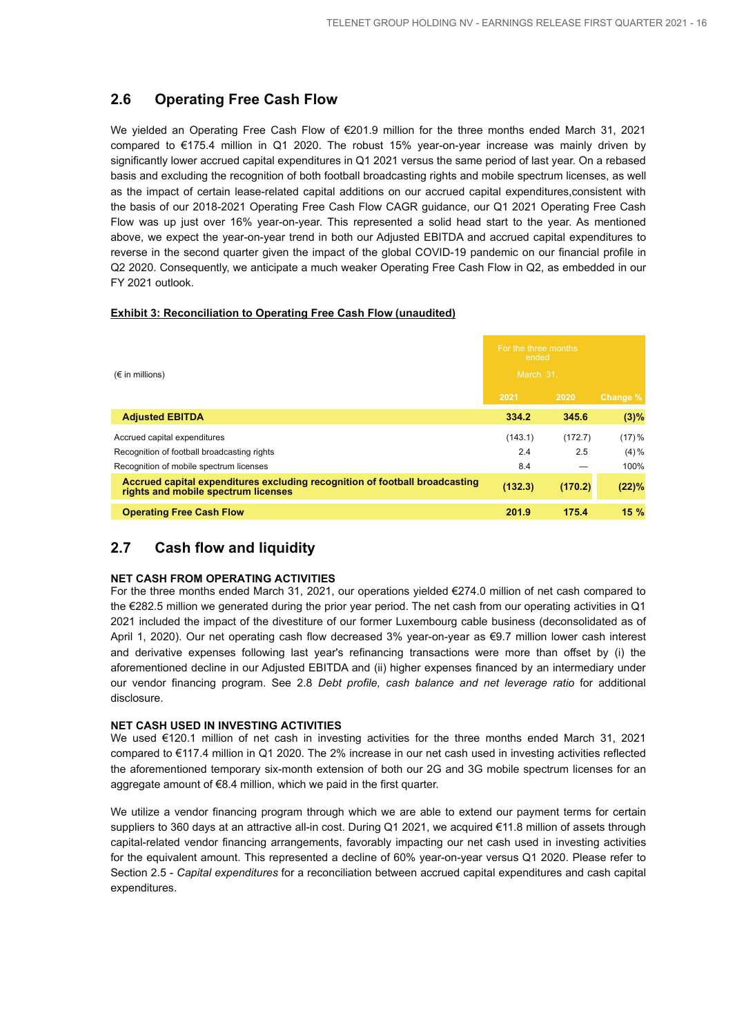## **2.6 Operating Free Cash Flow**

We yielded an Operating Free Cash Flow of €201.9 million for the three months ended March 31, 2021 compared to €175.4 million in Q1 2020. The robust 15% year-on-year increase was mainly driven by significantly lower accrued capital expenditures in Q1 2021 versus the same period of last year. On a rebased basis and excluding the recognition of both football broadcasting rights and mobile spectrum licenses, as well as the impact of certain lease-related capital additions on our accrued capital expenditures,consistent with the basis of our 2018-2021 Operating Free Cash Flow CAGR guidance, our Q1 2021 Operating Free Cash Flow was up just over 16% year-on-year. This represented a solid head start to the year. As mentioned above, we expect the year-on-year trend in both our Adjusted EBITDA and accrued capital expenditures to reverse in the second quarter given the impact of the global COVID-19 pandemic on our financial profile in Q2 2020. Consequently, we anticipate a much weaker Operating Free Cash Flow in Q2, as embedded in our FY 2021 outlook.

#### **Exhibit 3: Reconciliation to Operating Free Cash Flow (unaudited)**

| $(\epsilon$ in millions)                                                                                           |         | For the three months<br>ended<br>March 31. |           |  |
|--------------------------------------------------------------------------------------------------------------------|---------|--------------------------------------------|-----------|--|
|                                                                                                                    |         | 2020                                       | Change %  |  |
| <b>Adjusted EBITDA</b>                                                                                             | 334.2   | 345.6                                      | (3)%      |  |
| Accrued capital expenditures                                                                                       | (143.1) | (172.7)                                    | $(17) \%$ |  |
| Recognition of football broadcasting rights                                                                        | 2.4     | 2.5                                        | $(4) \%$  |  |
| Recognition of mobile spectrum licenses                                                                            | 8.4     |                                            | 100%      |  |
| Accrued capital expenditures excluding recognition of football broadcasting<br>rights and mobile spectrum licenses | (132.3) | (170.2)                                    | (22)%     |  |
| <b>Operating Free Cash Flow</b>                                                                                    | 201.9   | 175.4                                      | 15%       |  |

## **2.7 Cash flow and liquidity**

#### **NET CASH FROM OPERATING ACTIVITIES**

For the three months ended March 31, 2021, our operations yielded €274.0 million of net cash compared to the €282.5 million we generated during the prior year period. The net cash from our operating activities in Q1 2021 included the impact of the divestiture of our former Luxembourg cable business (deconsolidated as of April 1, 2020). Our net operating cash flow decreased 3% year-on-year as €9.7 million lower cash interest and derivative expenses following last year's refinancing transactions were more than offset by (i) the aforementioned decline in our Adjusted EBITDA and (ii) higher expenses financed by an intermediary under our vendor financing program. See 2.8 *Debt profile, cash balance and net leverage ratio* for additional disclosure.

#### **NET CASH USED IN INVESTING ACTIVITIES**

We used €120.1 million of net cash in investing activities for the three months ended March 31, 2021 compared to €117.4 million in Q1 2020. The 2% increase in our net cash used in investing activities reflected the aforementioned temporary six-month extension of both our 2G and 3G mobile spectrum licenses for an aggregate amount of €8.4 million, which we paid in the first quarter.

We utilize a vendor financing program through which we are able to extend our payment terms for certain suppliers to 360 days at an attractive all-in cost. During Q1 2021, we acquired €11.8 million of assets through capital-related vendor financing arrangements, favorably impacting our net cash used in investing activities for the equivalent amount. This represented a decline of 60% year-on-year versus Q1 2020. Please refer to Section 2.5 - *Capital expenditures* for a reconciliation between accrued capital expenditures and cash capital expenditures.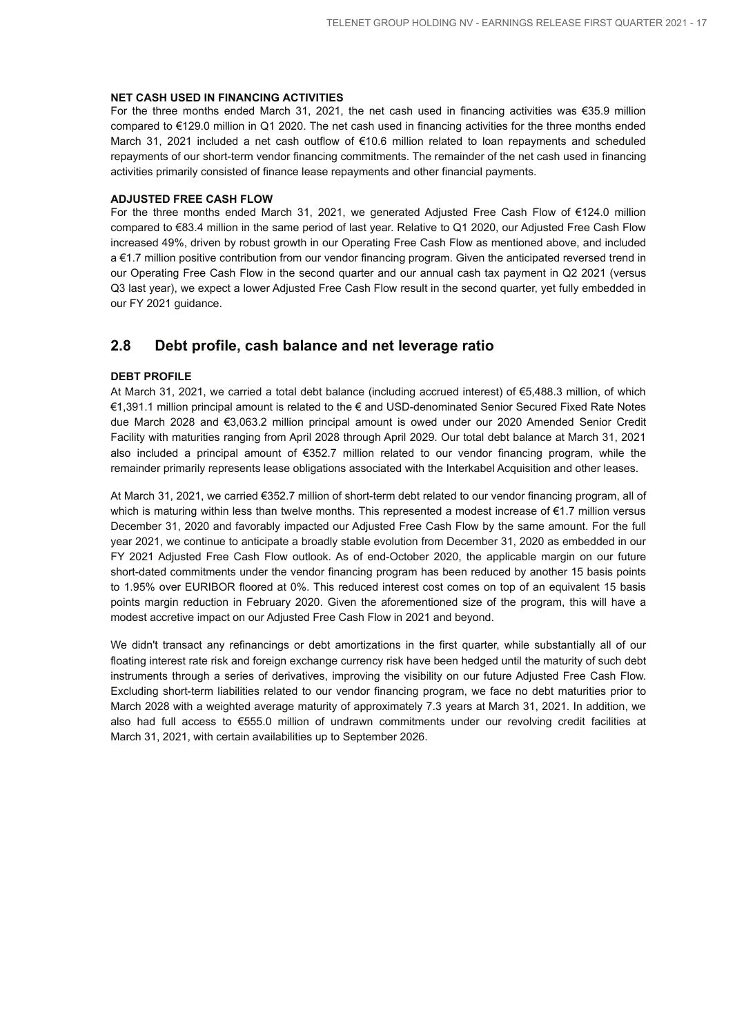#### **NET CASH USED IN FINANCING ACTIVITIES**

For the three months ended March 31, 2021, the net cash used in financing activities was €35.9 million compared to €129.0 million in Q1 2020. The net cash used in financing activities for the three months ended March 31, 2021 included a net cash outflow of €10.6 million related to loan repayments and scheduled repayments of our short-term vendor financing commitments. The remainder of the net cash used in financing activities primarily consisted of finance lease repayments and other financial payments.

#### **ADJUSTED FREE CASH FLOW**

For the three months ended March 31, 2021, we generated Adjusted Free Cash Flow of €124.0 million compared to €83.4 million in the same period of last year. Relative to Q1 2020, our Adjusted Free Cash Flow increased 49%, driven by robust growth in our Operating Free Cash Flow as mentioned above, and included a €1.7 million positive contribution from our vendor financing program. Given the anticipated reversed trend in our Operating Free Cash Flow in the second quarter and our annual cash tax payment in Q2 2021 (versus Q3 last year), we expect a lower Adjusted Free Cash Flow result in the second quarter, yet fully embedded in our FY 2021 guidance.

## **2.8 Debt profile, cash balance and net leverage ratio**

#### **DEBT PROFILE**

At March 31, 2021, we carried a total debt balance (including accrued interest) of €5,488.3 million, of which €1,391.1 million principal amount is related to the € and USD-denominated Senior Secured Fixed Rate Notes due March 2028 and €3,063.2 million principal amount is owed under our 2020 Amended Senior Credit Facility with maturities ranging from April 2028 through April 2029. Our total debt balance at March 31, 2021 also included a principal amount of €352.7 million related to our vendor financing program, while the remainder primarily represents lease obligations associated with the Interkabel Acquisition and other leases.

At March 31, 2021, we carried €352.7 million of short-term debt related to our vendor financing program, all of which is maturing within less than twelve months. This represented a modest increase of €1.7 million versus December 31, 2020 and favorably impacted our Adjusted Free Cash Flow by the same amount. For the full year 2021, we continue to anticipate a broadly stable evolution from December 31, 2020 as embedded in our FY 2021 Adjusted Free Cash Flow outlook. As of end-October 2020, the applicable margin on our future short-dated commitments under the vendor financing program has been reduced by another 15 basis points to 1.95% over EURIBOR floored at 0%. This reduced interest cost comes on top of an equivalent 15 basis points margin reduction in February 2020. Given the aforementioned size of the program, this will have a modest accretive impact on our Adjusted Free Cash Flow in 2021 and beyond.

We didn't transact any refinancings or debt amortizations in the first quarter, while substantially all of our floating interest rate risk and foreign exchange currency risk have been hedged until the maturity of such debt instruments through a series of derivatives, improving the visibility on our future Adjusted Free Cash Flow. Excluding short-term liabilities related to our vendor financing program, we face no debt maturities prior to March 2028 with a weighted average maturity of approximately 7.3 years at March 31, 2021. In addition, we also had full access to €555.0 million of undrawn commitments under our revolving credit facilities at March 31, 2021, with certain availabilities up to September 2026.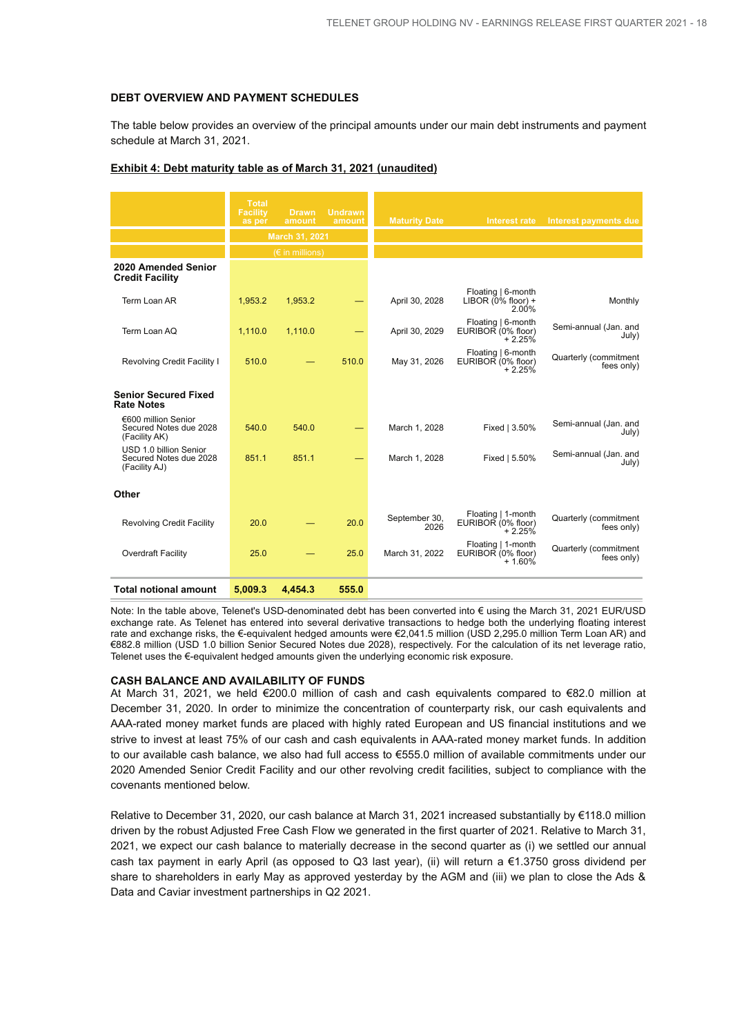#### **DEBT OVERVIEW AND PAYMENT SCHEDULES**

The table below provides an overview of the principal amounts under our main debt instruments and payment schedule at March 31, 2021.

|                                                                   | <b>Total</b><br><b>Facility</b><br>as per | <b>Drawn</b><br>amount   | <b>Undrawn</b><br>amount | <b>Maturity Date</b>  | Interest rate                                        | Interest payments due               |
|-------------------------------------------------------------------|-------------------------------------------|--------------------------|--------------------------|-----------------------|------------------------------------------------------|-------------------------------------|
|                                                                   |                                           | March 31, 2021           |                          |                       |                                                      |                                     |
|                                                                   |                                           | $(\epsilon$ in millions) |                          |                       |                                                      |                                     |
| 2020 Amended Senior<br><b>Credit Facility</b>                     |                                           |                          |                          |                       |                                                      |                                     |
| Term Loan AR                                                      | 1,953.2                                   | 1,953.2                  |                          | April 30, 2028        | Floating   6-month<br>LIBOR $(0\%$ floor) +<br>2.00% | Monthly                             |
| Term Loan AQ                                                      | 1,110.0                                   | 1,110.0                  |                          | April 30, 2029        | Floating   6-month<br>EURIBOR (0% floor)<br>$+2.25%$ | Semi-annual (Jan. and<br>July)      |
| Revolving Credit Facility I                                       | 510.0                                     |                          | 510.0                    | May 31, 2026          | Floating   6-month<br>EURIBOR (0% floor)<br>$+2.25%$ | Quarterly (commitment<br>fees only) |
| <b>Senior Secured Fixed</b><br><b>Rate Notes</b>                  |                                           |                          |                          |                       |                                                      |                                     |
| €600 million Senior<br>Secured Notes due 2028<br>(Facility AK)    | 540.0                                     | 540.0                    |                          | March 1, 2028         | Fixed   3.50%                                        | Semi-annual (Jan. and<br>July)      |
| USD 1.0 billion Senior<br>Secured Notes due 2028<br>(Facility AJ) | 851.1                                     | 851.1                    |                          | March 1, 2028         | Fixed   5.50%                                        | Semi-annual (Jan. and<br>July)      |
| Other                                                             |                                           |                          |                          |                       |                                                      |                                     |
| <b>Revolving Credit Facility</b>                                  | 20.0                                      |                          | 20.0                     | September 30,<br>2026 | Floating   1-month<br>EURIBOR (0% floor)<br>$+2.25%$ | Quarterly (commitment<br>fees only) |
| Overdraft Facility                                                | 25.0                                      |                          | 25.0                     | March 31, 2022        | Floating   1-month<br>EURIBOR (0% floor)<br>$+1.60%$ | Quarterly (commitment<br>fees only) |
| <b>Total notional amount</b>                                      | 5,009.3                                   | 4.454.3                  | 555.0                    |                       |                                                      |                                     |

#### **Exhibit 4: Debt maturity table as of March 31, 2021 (unaudited)**

Note: In the table above, Telenet's USD-denominated debt has been converted into € using the March 31, 2021 EUR/USD exchange rate. As Telenet has entered into several derivative transactions to hedge both the underlying floating interest rate and exchange risks, the €-equivalent hedged amounts were €2,041.5 million (USD 2,295.0 million Term Loan AR) and €882.8 million (USD 1.0 billion Senior Secured Notes due 2028), respectively. For the calculation of its net leverage ratio, Telenet uses the €-equivalent hedged amounts given the underlying economic risk exposure.

#### **CASH BALANCE AND AVAILABILITY OF FUNDS**

At March 31, 2021, we held €200.0 million of cash and cash equivalents compared to €82.0 million at December 31, 2020. In order to minimize the concentration of counterparty risk, our cash equivalents and AAA-rated money market funds are placed with highly rated European and US financial institutions and we strive to invest at least 75% of our cash and cash equivalents in AAA-rated money market funds. In addition to our available cash balance, we also had full access to €555.0 million of available commitments under our 2020 Amended Senior Credit Facility and our other revolving credit facilities, subject to compliance with the covenants mentioned below.

Relative to December 31, 2020, our cash balance at March 31, 2021 increased substantially by €118.0 million driven by the robust Adjusted Free Cash Flow we generated in the first quarter of 2021. Relative to March 31, 2021, we expect our cash balance to materially decrease in the second quarter as (i) we settled our annual cash tax payment in early April (as opposed to Q3 last year), (ii) will return a €1.3750 gross dividend per share to shareholders in early May as approved yesterday by the AGM and (iii) we plan to close the Ads & Data and Caviar investment partnerships in Q2 2021.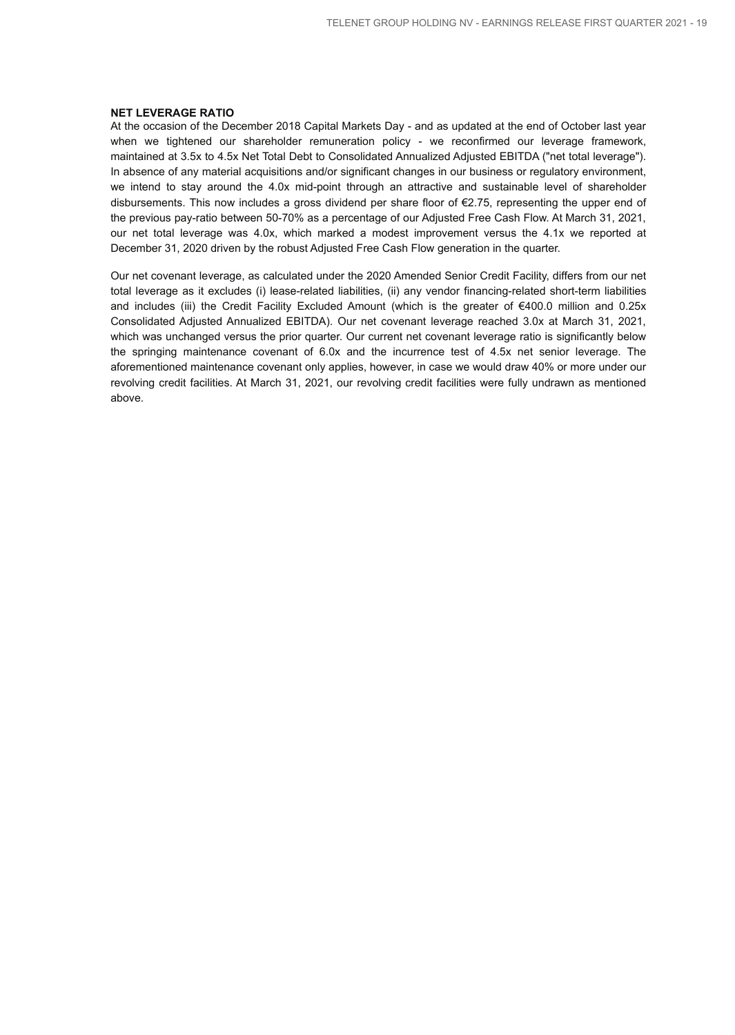#### **NET LEVERAGE RATIO**

At the occasion of the December 2018 Capital Markets Day - and as updated at the end of October last year when we tightened our shareholder remuneration policy - we reconfirmed our leverage framework, maintained at 3.5x to 4.5x Net Total Debt to Consolidated Annualized Adjusted EBITDA ("net total leverage"). In absence of any material acquisitions and/or significant changes in our business or regulatory environment, we intend to stay around the 4.0x mid-point through an attractive and sustainable level of shareholder disbursements. This now includes a gross dividend per share floor of €2.75, representing the upper end of the previous pay-ratio between 50-70% as a percentage of our Adjusted Free Cash Flow. At March 31, 2021, our net total leverage was 4.0x, which marked a modest improvement versus the 4.1x we reported at December 31, 2020 driven by the robust Adjusted Free Cash Flow generation in the quarter.

Our net covenant leverage, as calculated under the 2020 Amended Senior Credit Facility, differs from our net total leverage as it excludes (i) lease-related liabilities, (ii) any vendor financing-related short-term liabilities and includes (iii) the Credit Facility Excluded Amount (which is the greater of €400.0 million and 0.25x Consolidated Adjusted Annualized EBITDA). Our net covenant leverage reached 3.0x at March 31, 2021, which was unchanged versus the prior quarter. Our current net covenant leverage ratio is significantly below the springing maintenance covenant of 6.0x and the incurrence test of 4.5x net senior leverage. The aforementioned maintenance covenant only applies, however, in case we would draw 40% or more under our revolving credit facilities. At March 31, 2021, our revolving credit facilities were fully undrawn as mentioned above.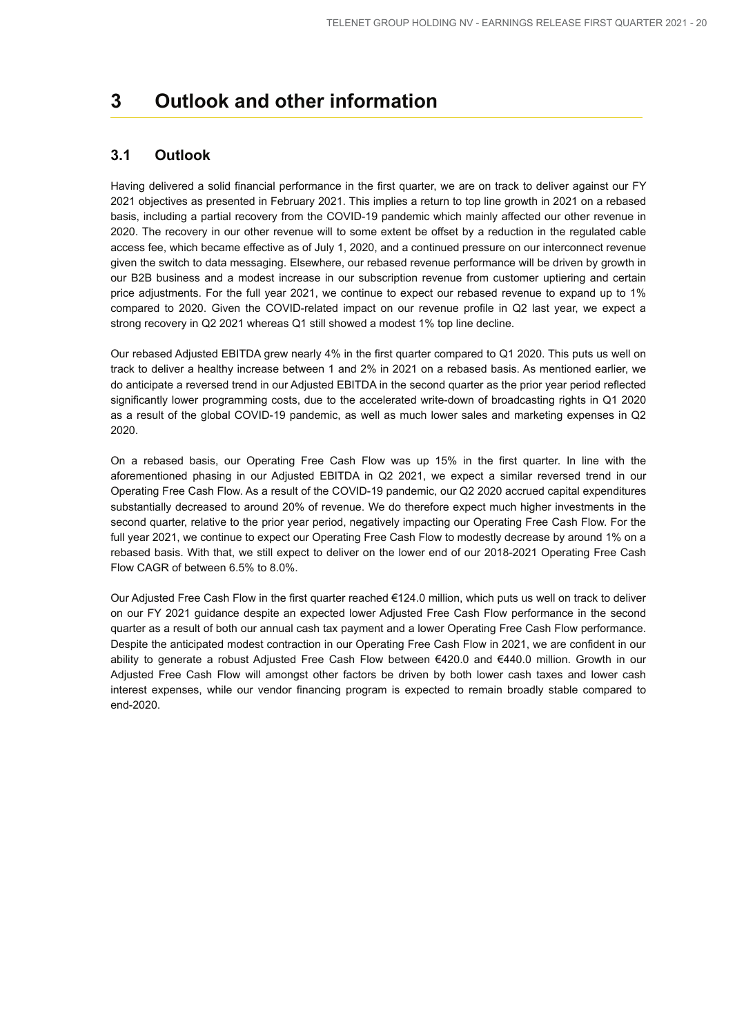## **3 Outlook and other information**

## **3.1 Outlook**

Having delivered a solid financial performance in the first quarter, we are on track to deliver against our FY 2021 objectives as presented in February 2021. This implies a return to top line growth in 2021 on a rebased basis, including a partial recovery from the COVID-19 pandemic which mainly affected our other revenue in 2020. The recovery in our other revenue will to some extent be offset by a reduction in the regulated cable access fee, which became effective as of July 1, 2020, and a continued pressure on our interconnect revenue given the switch to data messaging. Elsewhere, our rebased revenue performance will be driven by growth in our B2B business and a modest increase in our subscription revenue from customer uptiering and certain price adjustments. For the full year 2021, we continue to expect our rebased revenue to expand up to 1% compared to 2020. Given the COVID-related impact on our revenue profile in Q2 last year, we expect a strong recovery in Q2 2021 whereas Q1 still showed a modest 1% top line decline.

Our rebased Adjusted EBITDA grew nearly 4% in the first quarter compared to Q1 2020. This puts us well on track to deliver a healthy increase between 1 and 2% in 2021 on a rebased basis. As mentioned earlier, we do anticipate a reversed trend in our Adjusted EBITDA in the second quarter as the prior year period reflected significantly lower programming costs, due to the accelerated write-down of broadcasting rights in Q1 2020 as a result of the global COVID-19 pandemic, as well as much lower sales and marketing expenses in Q2 2020.

On a rebased basis, our Operating Free Cash Flow was up 15% in the first quarter. In line with the aforementioned phasing in our Adjusted EBITDA in Q2 2021, we expect a similar reversed trend in our Operating Free Cash Flow. As a result of the COVID-19 pandemic, our Q2 2020 accrued capital expenditures substantially decreased to around 20% of revenue. We do therefore expect much higher investments in the second quarter, relative to the prior year period, negatively impacting our Operating Free Cash Flow. For the full year 2021, we continue to expect our Operating Free Cash Flow to modestly decrease by around 1% on a rebased basis. With that, we still expect to deliver on the lower end of our 2018-2021 Operating Free Cash Flow CAGR of between 6.5% to 8.0%.

Our Adjusted Free Cash Flow in the first quarter reached €124.0 million, which puts us well on track to deliver on our FY 2021 guidance despite an expected lower Adjusted Free Cash Flow performance in the second quarter as a result of both our annual cash tax payment and a lower Operating Free Cash Flow performance. Despite the anticipated modest contraction in our Operating Free Cash Flow in 2021, we are confident in our ability to generate a robust Adjusted Free Cash Flow between €420.0 and €440.0 million. Growth in our Adjusted Free Cash Flow will amongst other factors be driven by both lower cash taxes and lower cash interest expenses, while our vendor financing program is expected to remain broadly stable compared to end-2020.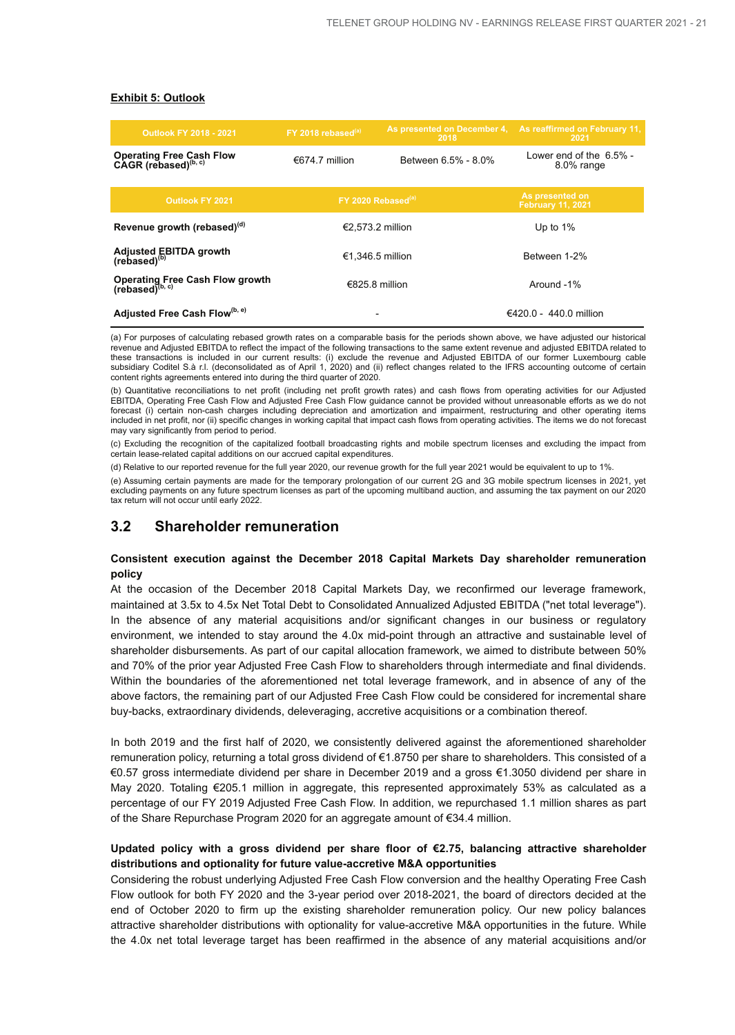#### **Exhibit 5: Outlook**

| <b>Outlook FY 2018 - 2021</b>                                  | FY 2018 rebased $(a)$          | As presented on December 4,<br>2018 | As reaffirmed on February 11,<br>2021       |
|----------------------------------------------------------------|--------------------------------|-------------------------------------|---------------------------------------------|
| Operating Free Cash Flow<br>CAGR (rebased) <sup>(b, c)</sup>   | €674.7 million                 | Between 6.5% - 8.0%                 | Lower end of the $6.5\%$ -<br>8.0% range    |
| <b>Outlook FY 2021</b>                                         | FY 2020 Rebased <sup>(a)</sup> |                                     | As presented on<br><b>February 11, 2021</b> |
| Revenue growth (rebased) <sup>(d)</sup>                        | €2.573.2 million               |                                     | Up to $1\%$                                 |
| Adjusted EBITDA growth<br>(rebased) <sup>(b)</sup>             | €1.346.5 million               |                                     | Between 1-2%                                |
| Operating Free Cash Flow growth<br>(rebased) <sup>(b, c)</sup> | €825.8 million                 |                                     | Around -1%                                  |
| Adjusted Free Cash Flow(b, e)                                  |                                |                                     | €420.0 - 440.0 million                      |

(a) For purposes of calculating rebased growth rates on a comparable basis for the periods shown above, we have adjusted our historical revenue and Adjusted EBITDA to reflect the impact of the following transactions to the same extent revenue and adjusted EBITDA related to these transactions is included in our current results: (i) exclude the revenue and Adjusted EBITDA of our former Luxembourg cable subsidiary Coditel S.à r.l. (deconsolidated as of April 1, 2020) and (ii) reflect changes related to the IFRS accounting outcome of certain content rights agreements entered into during the third quarter of 2020.

(b) Quantitative reconciliations to net profit (including net profit growth rates) and cash flows from operating activities for our Adjusted EBITDA, Operating Free Cash Flow and Adjusted Free Cash Flow guidance cannot be provided without unreasonable efforts as we do not forecast (i) certain non-cash charges including depreciation and amortization and impairment, restructuring and other operating items included in net profit, nor (ii) specific changes in working capital that impact cash flows from operating activities. The items we do not forecast may vary significantly from period to period.

(c) Excluding the recognition of the capitalized football broadcasting rights and mobile spectrum licenses and excluding the impact from certain lease-related capital additions on our accrued capital expenditures.

(d) Relative to our reported revenue for the full year 2020, our revenue growth for the full year 2021 would be equivalent to up to 1%.

(e) Assuming certain payments are made for the temporary prolongation of our current 2G and 3G mobile spectrum licenses in 2021, yet excluding payments on any future spectrum licenses as part of the upcoming multiband auction, and assuming the tax payment on our 2020 tax return will not occur until early 2022.

### **3.2 Shareholder remuneration**

#### **Consistent execution against the December 2018 Capital Markets Day shareholder remuneration policy**

At the occasion of the December 2018 Capital Markets Day, we reconfirmed our leverage framework, maintained at 3.5x to 4.5x Net Total Debt to Consolidated Annualized Adjusted EBITDA ("net total leverage"). In the absence of any material acquisitions and/or significant changes in our business or regulatory environment, we intended to stay around the 4.0x mid-point through an attractive and sustainable level of shareholder disbursements. As part of our capital allocation framework, we aimed to distribute between 50% and 70% of the prior year Adjusted Free Cash Flow to shareholders through intermediate and final dividends. Within the boundaries of the aforementioned net total leverage framework, and in absence of any of the above factors, the remaining part of our Adjusted Free Cash Flow could be considered for incremental share buy-backs, extraordinary dividends, deleveraging, accretive acquisitions or a combination thereof.

In both 2019 and the first half of 2020, we consistently delivered against the aforementioned shareholder remuneration policy, returning a total gross dividend of €1.8750 per share to shareholders. This consisted of a €0.57 gross intermediate dividend per share in December 2019 and a gross €1.3050 dividend per share in May 2020. Totaling €205.1 million in aggregate, this represented approximately 53% as calculated as a percentage of our FY 2019 Adjusted Free Cash Flow. In addition, we repurchased 1.1 million shares as part of the Share Repurchase Program 2020 for an aggregate amount of €34.4 million.

#### **Updated policy with a gross dividend per share floor of €2.75, balancing attractive shareholder distributions and optionality for future value-accretive M&A opportunities**

Considering the robust underlying Adjusted Free Cash Flow conversion and the healthy Operating Free Cash Flow outlook for both FY 2020 and the 3-year period over 2018-2021, the board of directors decided at the end of October 2020 to firm up the existing shareholder remuneration policy. Our new policy balances attractive shareholder distributions with optionality for value-accretive M&A opportunities in the future. While the 4.0x net total leverage target has been reaffirmed in the absence of any material acquisitions and/or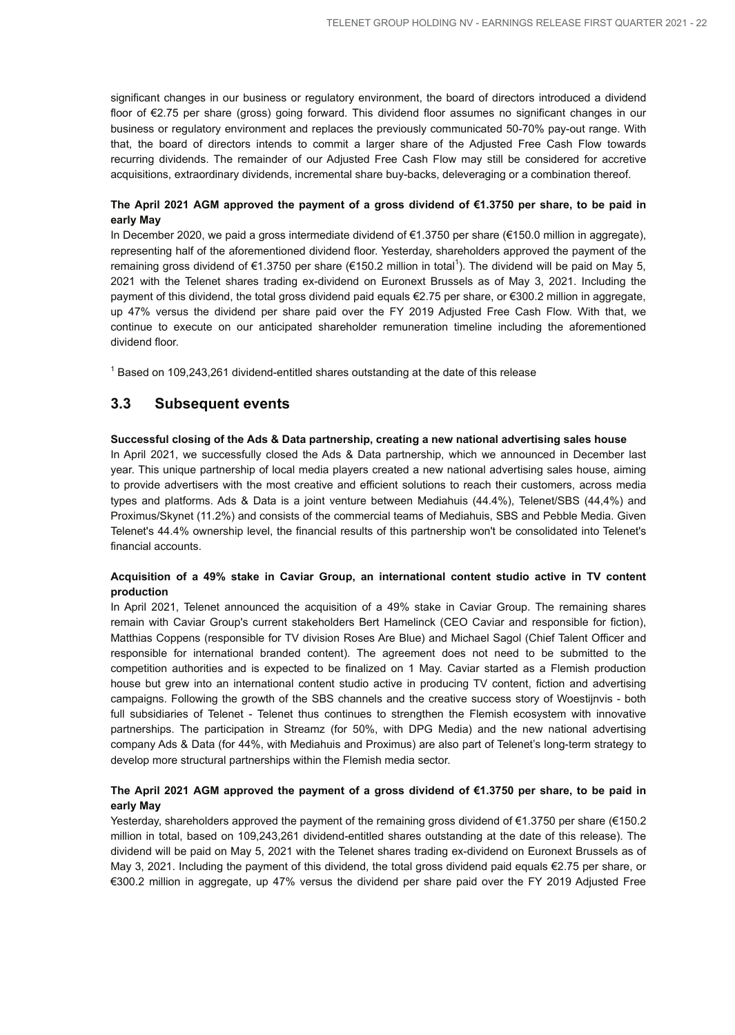significant changes in our business or regulatory environment, the board of directors introduced a dividend floor of €2.75 per share (gross) going forward. This dividend floor assumes no significant changes in our business or regulatory environment and replaces the previously communicated 50-70% pay-out range. With that, the board of directors intends to commit a larger share of the Adjusted Free Cash Flow towards recurring dividends. The remainder of our Adjusted Free Cash Flow may still be considered for accretive acquisitions, extraordinary dividends, incremental share buy-backs, deleveraging or a combination thereof.

#### **The April 2021 AGM approved the payment of a gross dividend of €1.3750 per share, to be paid in early May**

In December 2020, we paid a gross intermediate dividend of €1.3750 per share (€150.0 million in aggregate), representing half of the aforementioned dividend floor. Yesterday, shareholders approved the payment of the remaining gross dividend of €1.3750 per share (€150.2 million in total<sup>1</sup>). The dividend will be paid on May 5, 2021 with the Telenet shares trading ex-dividend on Euronext Brussels as of May 3, 2021. Including the payment of this dividend, the total gross dividend paid equals €2.75 per share, or €300.2 million in aggregate, up 47% versus the dividend per share paid over the FY 2019 Adjusted Free Cash Flow. With that, we continue to execute on our anticipated shareholder remuneration timeline including the aforementioned dividend floor.

 $1$  Based on 109,243,261 dividend-entitled shares outstanding at the date of this release

## **3.3 Subsequent events**

#### **Successful closing of the Ads & Data partnership, creating a new national advertising sales house**

In April 2021, we successfully closed the Ads & Data partnership, which we announced in December last year. This unique partnership of local media players created a new national advertising sales house, aiming to provide advertisers with the most creative and efficient solutions to reach their customers, across media types and platforms. Ads & Data is a joint venture between Mediahuis (44.4%), Telenet/SBS (44,4%) and Proximus/Skynet (11.2%) and consists of the commercial teams of Mediahuis, SBS and Pebble Media. Given Telenet's 44.4% ownership level, the financial results of this partnership won't be consolidated into Telenet's financial accounts.

#### **Acquisition of a 49% stake in Caviar Group, an international content studio active in TV content production**

In April 2021, Telenet announced the acquisition of a 49% stake in Caviar Group. The remaining shares remain with Caviar Group's current stakeholders Bert Hamelinck (CEO Caviar and responsible for fiction), Matthias Coppens (responsible for TV division Roses Are Blue) and Michael Sagol (Chief Talent Officer and responsible for international branded content). The agreement does not need to be submitted to the competition authorities and is expected to be finalized on 1 May. Caviar started as a Flemish production house but grew into an international content studio active in producing TV content, fiction and advertising campaigns. Following the growth of the SBS channels and the creative success story of Woestijnvis - both full subsidiaries of Telenet - Telenet thus continues to strengthen the Flemish ecosystem with innovative partnerships. The participation in Streamz (for 50%, with DPG Media) and the new national advertising company Ads & Data (for 44%, with Mediahuis and Proximus) are also part of Telenet's long-term strategy to develop more structural partnerships within the Flemish media sector.

#### **The April 2021 AGM approved the payment of a gross dividend of €1.3750 per share, to be paid in early May**

Yesterday, shareholders approved the payment of the remaining gross dividend of €1.3750 per share (€150.2 million in total, based on 109,243,261 dividend-entitled shares outstanding at the date of this release). The dividend will be paid on May 5, 2021 with the Telenet shares trading ex-dividend on Euronext Brussels as of May 3, 2021. Including the payment of this dividend, the total gross dividend paid equals €2.75 per share, or €300.2 million in aggregate, up 47% versus the dividend per share paid over the FY 2019 Adjusted Free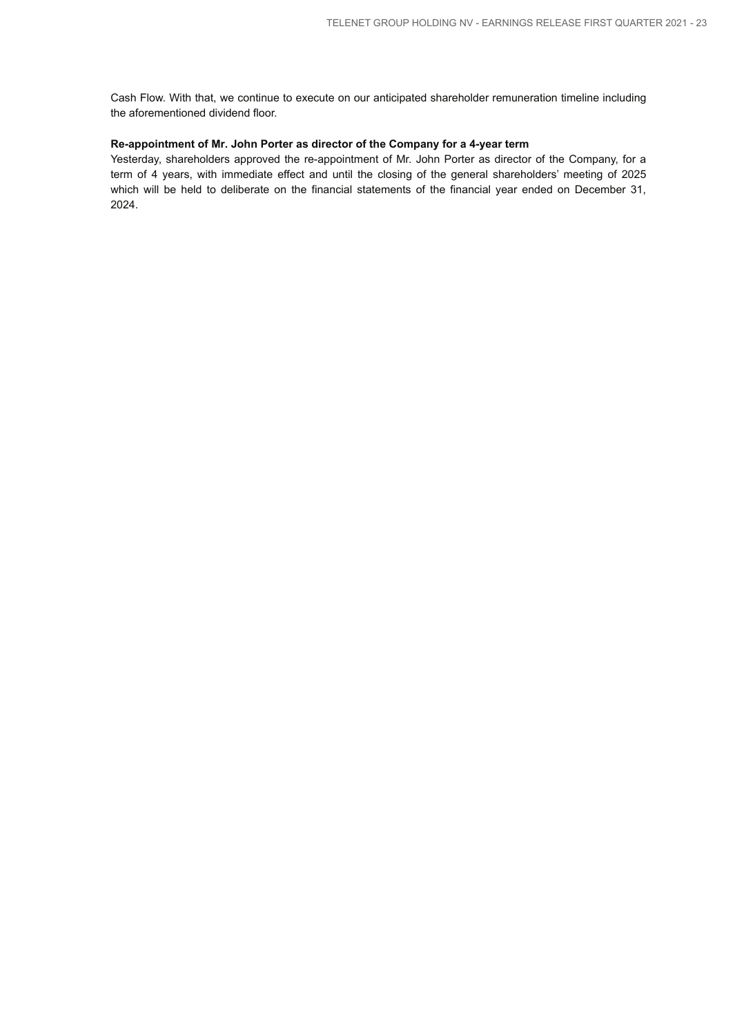Cash Flow. With that, we continue to execute on our anticipated shareholder remuneration timeline including the aforementioned dividend floor.

#### **Re-appointment of Mr. John Porter as director of the Company for a 4-year term**

Yesterday, shareholders approved the re-appointment of Mr. John Porter as director of the Company, for a term of 4 years, with immediate effect and until the closing of the general shareholders' meeting of 2025 which will be held to deliberate on the financial statements of the financial year ended on December 31, 2024.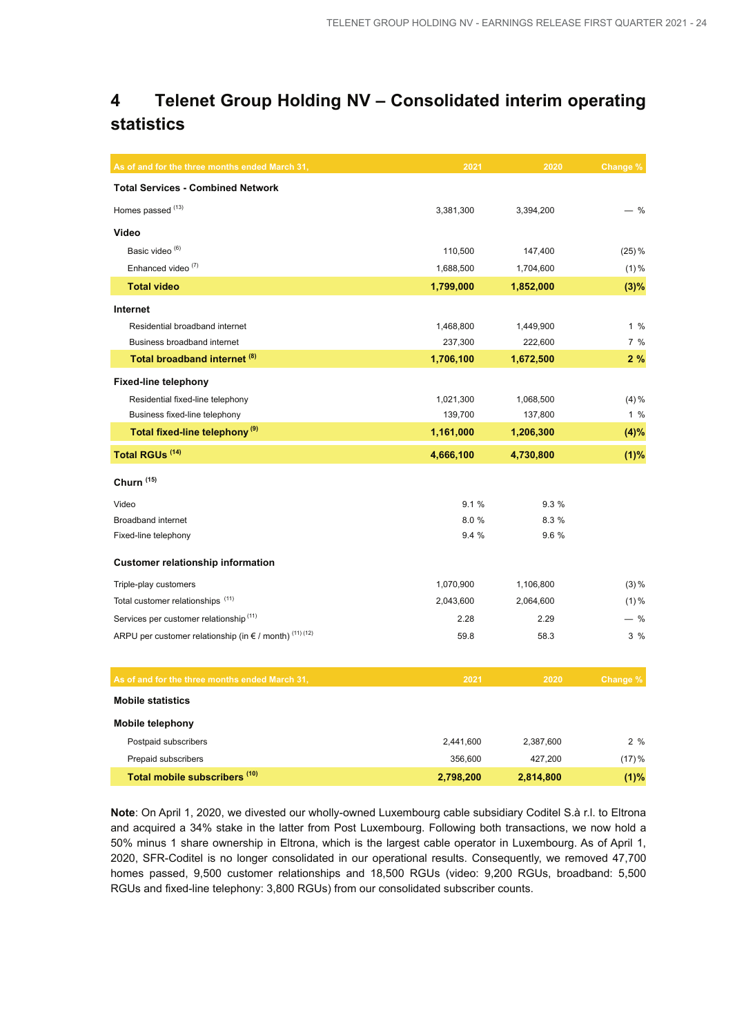## **4 Telenet Group Holding NV – Consolidated interim operating statistics**

| As of and for the three months ended March 31,              | 2021      | 2020      | Change % |
|-------------------------------------------------------------|-----------|-----------|----------|
| <b>Total Services - Combined Network</b>                    |           |           |          |
| Homes passed <sup>(13)</sup>                                | 3,381,300 | 3,394,200 | - %      |
| Video                                                       |           |           |          |
| Basic video <sup>(6)</sup>                                  | 110,500   | 147,400   | $(25)$ % |
| Enhanced video <sup>(7)</sup>                               | 1,688,500 | 1,704,600 | $(1) \%$ |
| <b>Total video</b>                                          | 1,799,000 | 1,852,000 | (3)%     |
| Internet                                                    |           |           |          |
| Residential broadband internet                              | 1,468,800 | 1,449,900 | 1%       |
| Business broadband internet                                 | 237,300   | 222,600   | 7 %      |
| Total broadband internet (8)                                | 1,706,100 | 1,672,500 | 2%       |
| <b>Fixed-line telephony</b>                                 |           |           |          |
| Residential fixed-line telephony                            | 1,021,300 | 1,068,500 | $(4) \%$ |
| Business fixed-line telephony                               | 139,700   | 137,800   | $1\%$    |
| Total fixed-line telephony <sup>(9)</sup>                   | 1,161,000 | 1,206,300 | (4)%     |
| Total RGUs <sup>(14)</sup>                                  | 4,666,100 | 4,730,800 | (1)%     |
| Churn <sup>(15)</sup>                                       |           |           |          |
| Video                                                       | 9.1%      | 9.3%      |          |
| <b>Broadband internet</b>                                   | 8.0%      | 8.3 %     |          |
| Fixed-line telephony                                        | 9.4 %     | 9.6 %     |          |
| <b>Customer relationship information</b>                    |           |           |          |
| Triple-play customers                                       | 1,070,900 | 1,106,800 | $(3) \%$ |
| Total customer relationships <sup>(11)</sup>                | 2,043,600 | 2,064,600 | $(1) \%$ |
| Services per customer relationship <sup>(11)</sup>          | 2.28      | 2.29      | $-$ %    |
| ARPU per customer relationship (in $\in$ / month) (11) (12) | 59.8      | 58.3      | 3%       |
|                                                             |           |           |          |
| As of and for the three months ended March 31,              | 2021      | 2020      | Change % |
| <b>Mobile statistics</b>                                    |           |           |          |
| <b>Mobile telephony</b>                                     |           |           |          |
| Postpaid subscribers                                        | 2,441,600 | 2,387,600 | 2%       |
| Prepaid subscribers                                         | 356,600   | 427,200   | (17)%    |
| Total mobile subscribers (10)                               | 2,798,200 | 2,814,800 | (1)%     |

**Note**: On April 1, 2020, we divested our wholly-owned Luxembourg cable subsidiary Coditel S.à r.l. to Eltrona and acquired a 34% stake in the latter from Post Luxembourg. Following both transactions, we now hold a 50% minus 1 share ownership in Eltrona, which is the largest cable operator in Luxembourg. As of April 1, 2020, SFR-Coditel is no longer consolidated in our operational results. Consequently, we removed 47,700 homes passed, 9,500 customer relationships and 18,500 RGUs (video: 9,200 RGUs, broadband: 5,500 RGUs and fixed-line telephony: 3,800 RGUs) from our consolidated subscriber counts.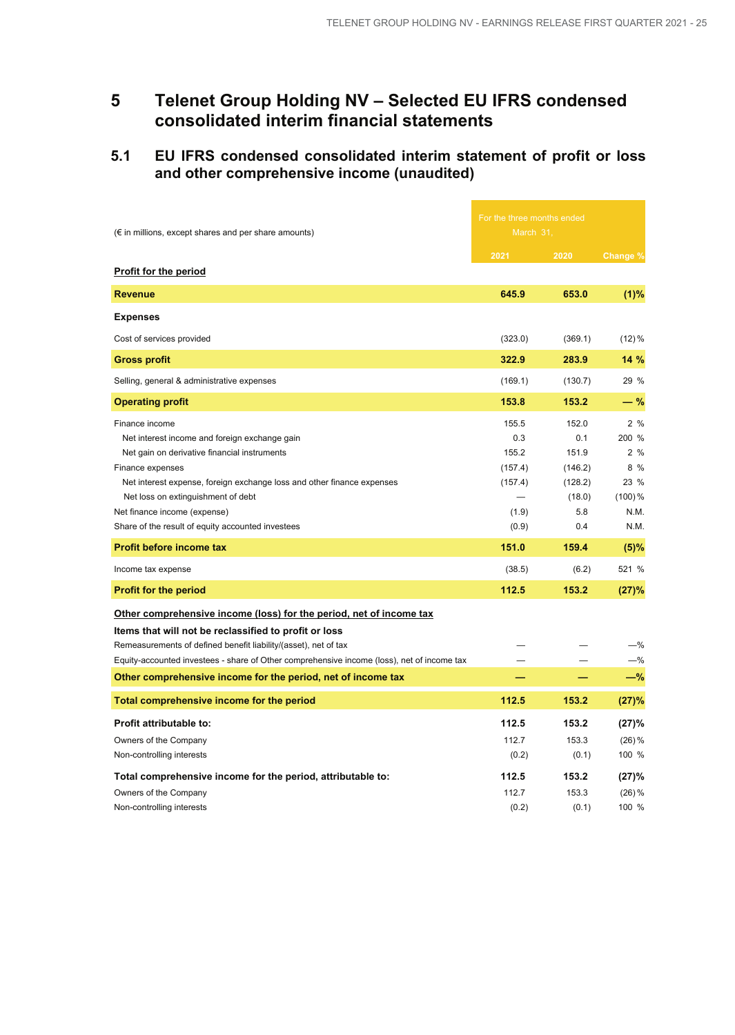## **5 Telenet Group Holding NV – Selected EU IFRS condensed consolidated interim financial statements**

## **5.1 EU IFRS condensed consolidated interim statement of profit or loss and other comprehensive income (unaudited)**

|                                                                                                                                                                                                                                                                                                                                                                             |                                                                        | For the three months ended                                                   |                                                                       |  |
|-----------------------------------------------------------------------------------------------------------------------------------------------------------------------------------------------------------------------------------------------------------------------------------------------------------------------------------------------------------------------------|------------------------------------------------------------------------|------------------------------------------------------------------------------|-----------------------------------------------------------------------|--|
| $(\epsilon$ in millions, except shares and per share amounts)                                                                                                                                                                                                                                                                                                               | March 31,                                                              |                                                                              |                                                                       |  |
|                                                                                                                                                                                                                                                                                                                                                                             | 2021                                                                   | 2020                                                                         | Change %                                                              |  |
| <b>Profit for the period</b>                                                                                                                                                                                                                                                                                                                                                |                                                                        |                                                                              |                                                                       |  |
| <b>Revenue</b>                                                                                                                                                                                                                                                                                                                                                              | 645.9                                                                  | 653.0                                                                        | (1)%                                                                  |  |
| <b>Expenses</b>                                                                                                                                                                                                                                                                                                                                                             |                                                                        |                                                                              |                                                                       |  |
| Cost of services provided                                                                                                                                                                                                                                                                                                                                                   | (323.0)                                                                | (369.1)                                                                      | $(12)\%$                                                              |  |
| <b>Gross profit</b>                                                                                                                                                                                                                                                                                                                                                         | 322.9                                                                  | 283.9                                                                        | 14 %                                                                  |  |
| Selling, general & administrative expenses                                                                                                                                                                                                                                                                                                                                  | (169.1)                                                                | (130.7)                                                                      | 29 %                                                                  |  |
| <b>Operating profit</b>                                                                                                                                                                                                                                                                                                                                                     | 153.8                                                                  | 153.2                                                                        | $-$ %                                                                 |  |
| Finance income<br>Net interest income and foreign exchange gain<br>Net gain on derivative financial instruments<br>Finance expenses<br>Net interest expense, foreign exchange loss and other finance expenses<br>Net loss on extinguishment of debt<br>Net finance income (expense)<br>Share of the result of equity accounted investees<br><b>Profit before income tax</b> | 155.5<br>0.3<br>155.2<br>(157.4)<br>(157.4)<br>(1.9)<br>(0.9)<br>151.0 | 152.0<br>0.1<br>151.9<br>(146.2)<br>(128.2)<br>(18.0)<br>5.8<br>0.4<br>159.4 | 2%<br>200 %<br>2%<br>8 %<br>23 %<br>$(100)\%$<br>N.M.<br>N.M.<br>(5)% |  |
| Income tax expense                                                                                                                                                                                                                                                                                                                                                          | (38.5)                                                                 | (6.2)                                                                        | 521 %                                                                 |  |
| <b>Profit for the period</b>                                                                                                                                                                                                                                                                                                                                                | 112.5                                                                  | 153.2                                                                        | (27)%                                                                 |  |
| <u>Other comprehensive income (loss) for the period, net of income tax</u><br>Items that will not be reclassified to profit or loss<br>Remeasurements of defined benefit liability/(asset), net of tax<br>Equity-accounted investees - share of Other comprehensive income (loss), net of income tax<br>Other comprehensive income for the period, net of income tax        |                                                                        |                                                                              | $-$ %<br>$-\%$<br>$-\%$                                               |  |
| Total comprehensive income for the period                                                                                                                                                                                                                                                                                                                                   | 112.5                                                                  | 153.2                                                                        | (27)%                                                                 |  |
| Profit attributable to:<br>Owners of the Company<br>Non-controlling interests<br>Total comprehensive income for the period, attributable to:                                                                                                                                                                                                                                | 112.5<br>112.7<br>(0.2)<br>112.5                                       | 153.2<br>153.3<br>(0.1)<br>153.2                                             | (27)%<br>(26)%<br>100 %<br>(27)%                                      |  |
| Owners of the Company<br>Non-controlling interests                                                                                                                                                                                                                                                                                                                          | 112.7<br>(0.2)                                                         | 153.3<br>(0.1)                                                               | $(26)$ %<br>100 %                                                     |  |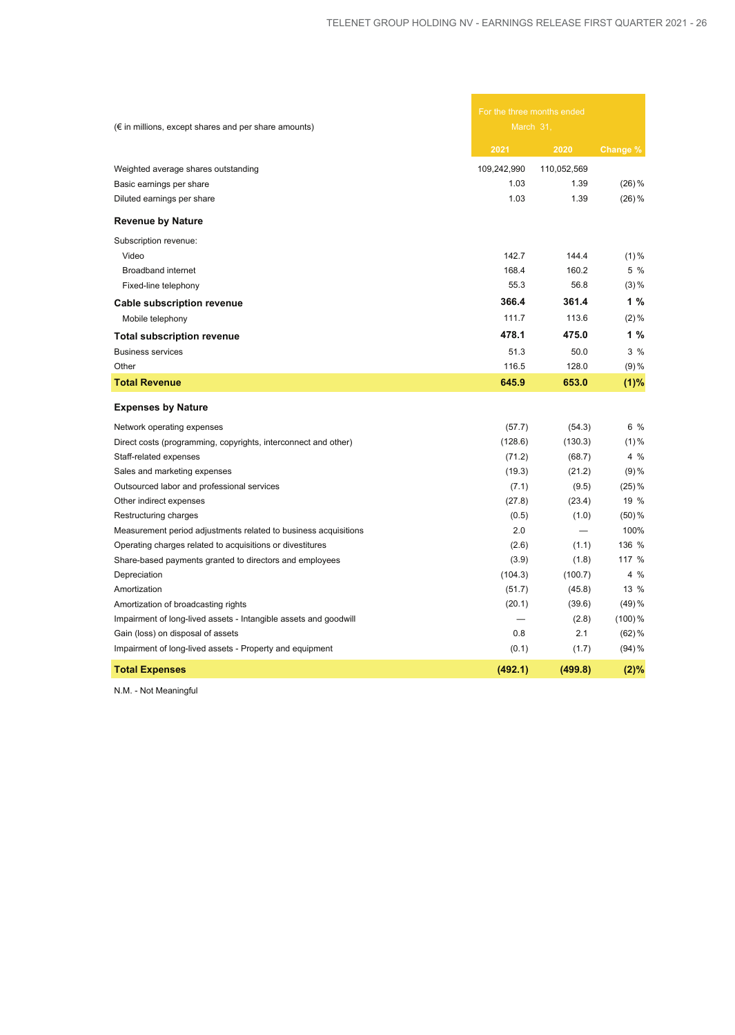| $(\epsilon$ in millions, except shares and per share amounts)    | For the three months ended<br>March 31, |             |           |
|------------------------------------------------------------------|-----------------------------------------|-------------|-----------|
|                                                                  | 2021                                    | 2020        | Change %  |
| Weighted average shares outstanding                              | 109,242,990                             | 110,052,569 |           |
| Basic earnings per share                                         | 1.03                                    | 1.39        | $(26)$ %  |
| Diluted earnings per share                                       | 1.03                                    | 1.39        | $(26)$ %  |
| <b>Revenue by Nature</b>                                         |                                         |             |           |
| Subscription revenue:                                            |                                         |             |           |
| Video                                                            | 142.7                                   | 144.4       | $(1)\%$   |
| Broadband internet                                               | 168.4                                   | 160.2       | 5%        |
| Fixed-line telephony                                             | 55.3                                    | 56.8        | $(3) \%$  |
| <b>Cable subscription revenue</b>                                | 366.4                                   | 361.4       | 1 %       |
| Mobile telephony                                                 | 111.7                                   | 113.6       | $(2)\%$   |
| <b>Total subscription revenue</b>                                | 478.1                                   | 475.0       | 1%        |
| <b>Business services</b>                                         | 51.3                                    | 50.0        | $3\%$     |
| Other                                                            | 116.5                                   | 128.0       | $(9) \%$  |
| <b>Total Revenue</b>                                             | 645.9                                   | 653.0       | (1)%      |
| <b>Expenses by Nature</b>                                        |                                         |             |           |
| Network operating expenses                                       | (57.7)                                  | (54.3)      | 6 %       |
| Direct costs (programming, copyrights, interconnect and other)   | (128.6)                                 | (130.3)     | $(1)\%$   |
| Staff-related expenses                                           | (71.2)                                  | (68.7)      | $4\%$     |
| Sales and marketing expenses                                     | (19.3)                                  | (21.2)      | $(9)$ %   |
| Outsourced labor and professional services                       | (7.1)                                   | (9.5)       | $(25)$ %  |
| Other indirect expenses                                          | (27.8)                                  | (23.4)      | 19 %      |
| Restructuring charges                                            | (0.5)                                   | (1.0)       | $(50)$ %  |
| Measurement period adjustments related to business acquisitions  | 2.0                                     |             | 100%      |
| Operating charges related to acquisitions or divestitures        | (2.6)                                   | (1.1)       | 136 %     |
| Share-based payments granted to directors and employees          | (3.9)                                   | (1.8)       | 117 %     |
| Depreciation                                                     | (104.3)                                 | (100.7)     | 4 %       |
| Amortization                                                     | (51.7)                                  | (45.8)      | 13 %      |
| Amortization of broadcasting rights                              | (20.1)                                  | (39.6)      | $(49)$ %  |
| Impairment of long-lived assets - Intangible assets and goodwill |                                         | (2.8)       | $(100)\%$ |
| Gain (loss) on disposal of assets                                | 0.8                                     | 2.1         | $(62)$ %  |
| Impairment of long-lived assets - Property and equipment         | (0.1)                                   | (1.7)       | $(94) \%$ |
| <b>Total Expenses</b>                                            | (492.1)                                 | (499.8)     | (2)%      |

N.M. - Not Meaningful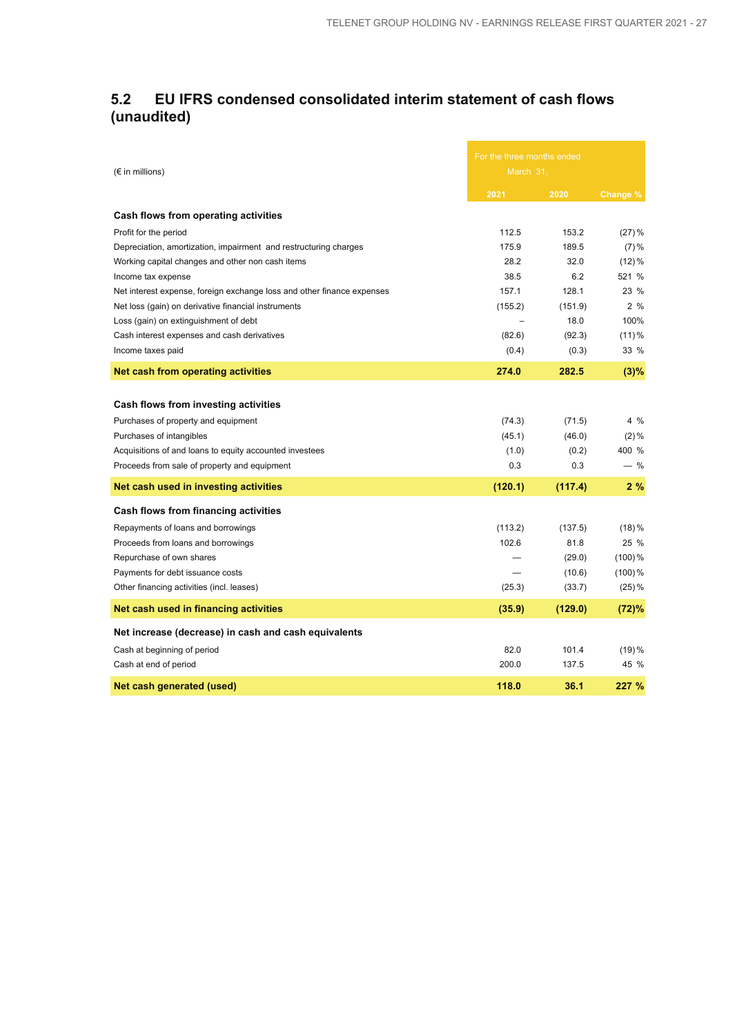## **5.2 EU IFRS condensed consolidated interim statement of cash flows (unaudited)**

| $(\epsilon$ in millions)                                               | For the three months ended<br>March 31, |         |           |
|------------------------------------------------------------------------|-----------------------------------------|---------|-----------|
|                                                                        | 2021                                    | 2020    | Change %  |
| Cash flows from operating activities                                   |                                         |         |           |
| Profit for the period                                                  | 112.5                                   | 153.2   | $(27)$ %  |
| Depreciation, amortization, impairment and restructuring charges       | 175.9                                   | 189.5   | $(7) \%$  |
| Working capital changes and other non cash items                       | 28.2                                    | 32.0    | $(12)\%$  |
| Income tax expense                                                     | 38.5                                    | 6.2     | 521 %     |
| Net interest expense, foreign exchange loss and other finance expenses | 157.1                                   | 128.1   | 23 %      |
| Net loss (gain) on derivative financial instruments                    | (155.2)                                 | (151.9) | 2%        |
| Loss (gain) on extinguishment of debt                                  |                                         | 18.0    | 100%      |
| Cash interest expenses and cash derivatives                            | (82.6)                                  | (92.3)  | $(11)$ %  |
| Income taxes paid                                                      | (0.4)                                   | (0.3)   | 33 %      |
| <b>Net cash from operating activities</b>                              | 274.0                                   | 282.5   | (3)%      |
|                                                                        |                                         |         |           |
| Cash flows from investing activities                                   |                                         |         |           |
| Purchases of property and equipment                                    | (74.3)                                  | (71.5)  | 4%        |
| Purchases of intangibles                                               | (45.1)                                  | (46.0)  | $(2) \%$  |
| Acquisitions of and loans to equity accounted investees                | (1.0)                                   | (0.2)   | 400 %     |
| Proceeds from sale of property and equipment                           | 0.3                                     | 0.3     | $-$ %     |
| Net cash used in investing activities                                  | (120.1)                                 | (117.4) | 2%        |
| Cash flows from financing activities                                   |                                         |         |           |
| Repayments of loans and borrowings                                     | (113.2)                                 | (137.5) | (18)%     |
| Proceeds from loans and borrowings                                     | 102.6                                   | 81.8    | 25 %      |
| Repurchase of own shares                                               |                                         | (29.0)  | $(100)\%$ |
| Payments for debt issuance costs                                       |                                         | (10.6)  | (100) %   |
| Other financing activities (incl. leases)                              | (25.3)                                  | (33.7)  | $(25)$ %  |
| Net cash used in financing activities                                  | (35.9)                                  | (129.0) | (72)%     |
| Net increase (decrease) in cash and cash equivalents                   |                                         |         |           |
| Cash at beginning of period                                            | 82.0                                    | 101.4   | (19)%     |
| Cash at end of period                                                  | 200.0                                   | 137.5   | 45 %      |
| Net cash generated (used)                                              | 118.0                                   | 36.1    | 227 %     |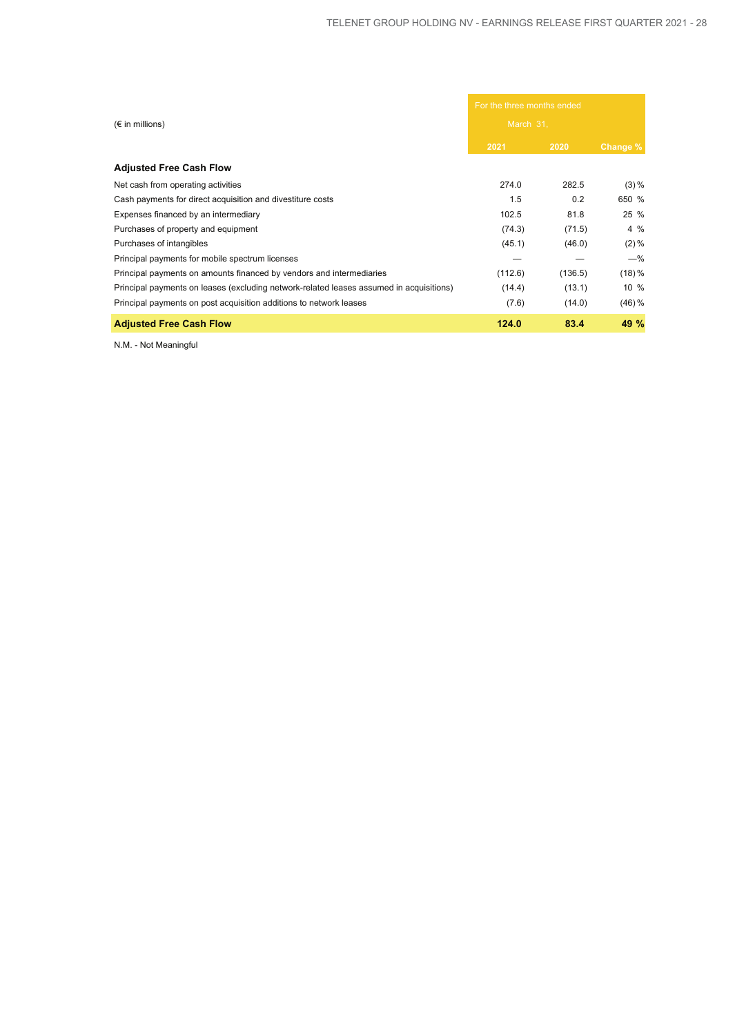|                                                                                         | For the three months ended |         |                  |  |
|-----------------------------------------------------------------------------------------|----------------------------|---------|------------------|--|
| $(\epsilon$ in millions)                                                                | March 31,                  |         |                  |  |
|                                                                                         | 2021                       | 2020    | Change %         |  |
| <b>Adjusted Free Cash Flow</b>                                                          |                            |         |                  |  |
| Net cash from operating activities                                                      | 274.0                      | 282.5   | $(3) \%$         |  |
| Cash payments for direct acquisition and divestiture costs                              | 1.5                        | 0.2     | 650 %            |  |
| Expenses financed by an intermediary                                                    | 102.5                      | 81.8    | 25 %             |  |
| Purchases of property and equipment                                                     | (74.3)                     | (71.5)  | $4\%$            |  |
| Purchases of intangibles                                                                | (45.1)                     | (46.0)  | $(2)\%$          |  |
| Principal payments for mobile spectrum licenses                                         |                            |         | $-\%$            |  |
| Principal payments on amounts financed by vendors and intermediaries                    | (112.6)                    | (136.5) | $(18)\%$         |  |
| Principal payments on leases (excluding network-related leases assumed in acquisitions) | (14.4)                     | (13.1)  | $10 \frac{9}{6}$ |  |
| Principal payments on post acquisition additions to network leases                      | (7.6)                      | (14.0)  | $(46)$ %         |  |
| <b>Adjusted Free Cash Flow</b>                                                          | 124.0                      | 83.4    | 49 %             |  |

N.M. - Not Meaningful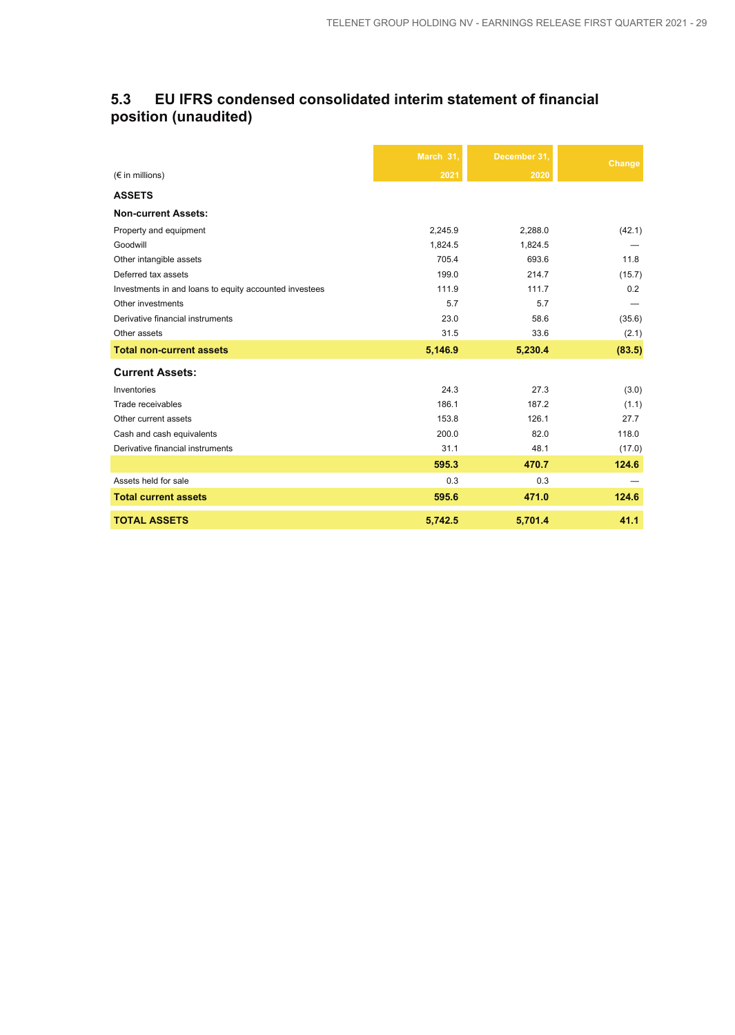## **5.3 EU IFRS condensed consolidated interim statement of financial position (unaudited)**

|                                                        | March 31, | December 31, | Change |
|--------------------------------------------------------|-----------|--------------|--------|
| $(\epsilon$ in millions)                               | 2021      | 2020         |        |
| <b>ASSETS</b>                                          |           |              |        |
| <b>Non-current Assets:</b>                             |           |              |        |
| Property and equipment                                 | 2,245.9   | 2,288.0      | (42.1) |
| Goodwill                                               | 1,824.5   | 1,824.5      |        |
| Other intangible assets                                | 705.4     | 693.6        | 11.8   |
| Deferred tax assets                                    | 199.0     | 214.7        | (15.7) |
| Investments in and loans to equity accounted investees | 111.9     | 111.7        | 0.2    |
| Other investments                                      | 5.7       | 5.7          |        |
| Derivative financial instruments                       | 23.0      | 58.6         | (35.6) |
| Other assets                                           | 31.5      | 33.6         | (2.1)  |
| <b>Total non-current assets</b>                        | 5,146.9   | 5,230.4      | (83.5) |
| <b>Current Assets:</b>                                 |           |              |        |
| Inventories                                            | 24.3      | 27.3         | (3.0)  |
| Trade receivables                                      | 186.1     | 187.2        | (1.1)  |
| Other current assets                                   | 153.8     | 126.1        | 27.7   |
| Cash and cash equivalents                              | 200.0     | 82.0         | 118.0  |
| Derivative financial instruments                       | 31.1      | 48.1         | (17.0) |
|                                                        | 595.3     | 470.7        | 124.6  |
| Assets held for sale                                   | 0.3       | 0.3          |        |
| <b>Total current assets</b>                            | 595.6     | 471.0        | 124.6  |
| <b>TOTAL ASSETS</b>                                    | 5,742.5   | 5,701.4      | 41.1   |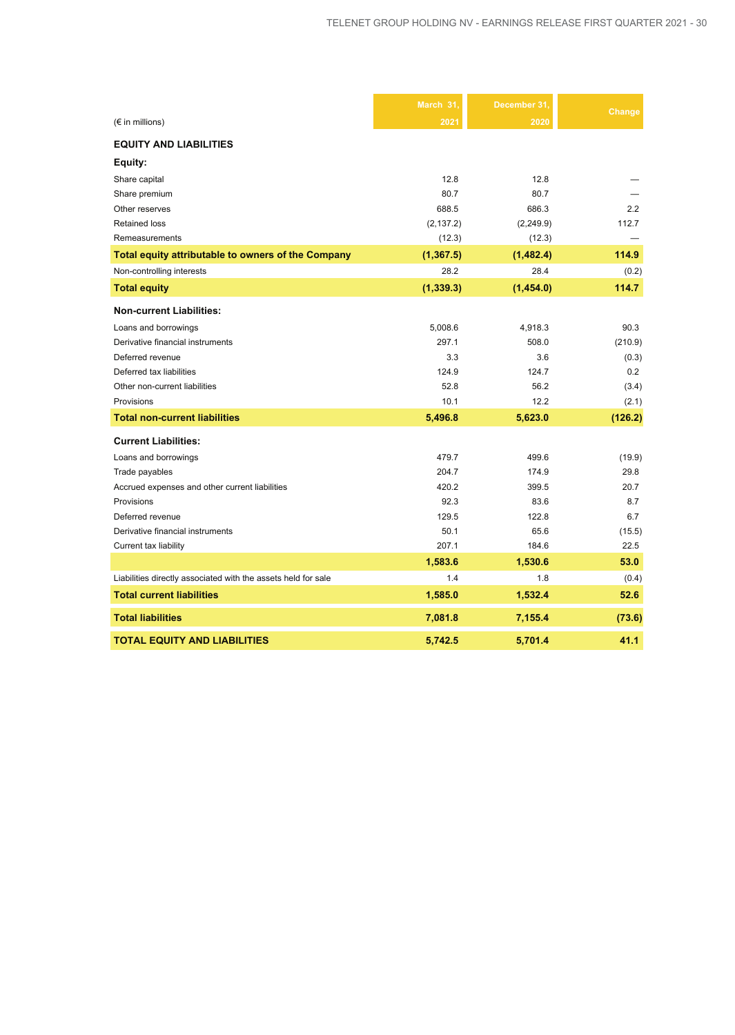|                                                               | March 31,  | December 31. | Change  |
|---------------------------------------------------------------|------------|--------------|---------|
| $(\epsilon$ in millions)                                      | 2021       | 2020         |         |
| <b>EQUITY AND LIABILITIES</b>                                 |            |              |         |
| Equity:                                                       |            |              |         |
| Share capital                                                 | 12.8       | 12.8         |         |
| Share premium                                                 | 80.7       | 80.7         |         |
| Other reserves                                                | 688.5      | 686.3        | 2.2     |
| <b>Retained loss</b>                                          | (2, 137.2) | (2,249.9)    | 112.7   |
| Remeasurements                                                | (12.3)     | (12.3)       |         |
| Total equity attributable to owners of the Company            | (1, 367.5) | (1,482.4)    | 114.9   |
| Non-controlling interests                                     | 28.2       | 28.4         | (0.2)   |
| <b>Total equity</b>                                           | (1, 339.3) | (1,454.0)    | 114.7   |
| <b>Non-current Liabilities:</b>                               |            |              |         |
| Loans and borrowings                                          | 5,008.6    | 4,918.3      | 90.3    |
| Derivative financial instruments                              | 297.1      | 508.0        | (210.9) |
| Deferred revenue                                              | 3.3        | 3.6          | (0.3)   |
| Deferred tax liabilities                                      | 124.9      | 124.7        | 0.2     |
| Other non-current liabilities                                 | 52.8       | 56.2         | (3.4)   |
| Provisions                                                    | 10.1       | 12.2         | (2.1)   |
| <b>Total non-current liabilities</b>                          | 5,496.8    | 5,623.0      | (126.2) |
| <b>Current Liabilities:</b>                                   |            |              |         |
| Loans and borrowings                                          | 479.7      | 499.6        | (19.9)  |
| Trade payables                                                | 204.7      | 174.9        | 29.8    |
| Accrued expenses and other current liabilities                | 420.2      | 399.5        | 20.7    |
| Provisions                                                    | 92.3       | 83.6         | 8.7     |
| Deferred revenue                                              | 129.5      | 122.8        | 6.7     |
| Derivative financial instruments                              | 50.1       | 65.6         | (15.5)  |
| Current tax liability                                         | 207.1      | 184.6        | 22.5    |
|                                                               | 1,583.6    | 1,530.6      | 53.0    |
| Liabilities directly associated with the assets held for sale | 1.4        | 1.8          | (0.4)   |
| <b>Total current liabilities</b>                              | 1,585.0    | 1,532.4      | 52.6    |
| <b>Total liabilities</b>                                      | 7,081.8    | 7,155.4      | (73.6)  |
| <b>TOTAL EQUITY AND LIABILITIES</b>                           | 5.742.5    | 5.701.4      | 41.1    |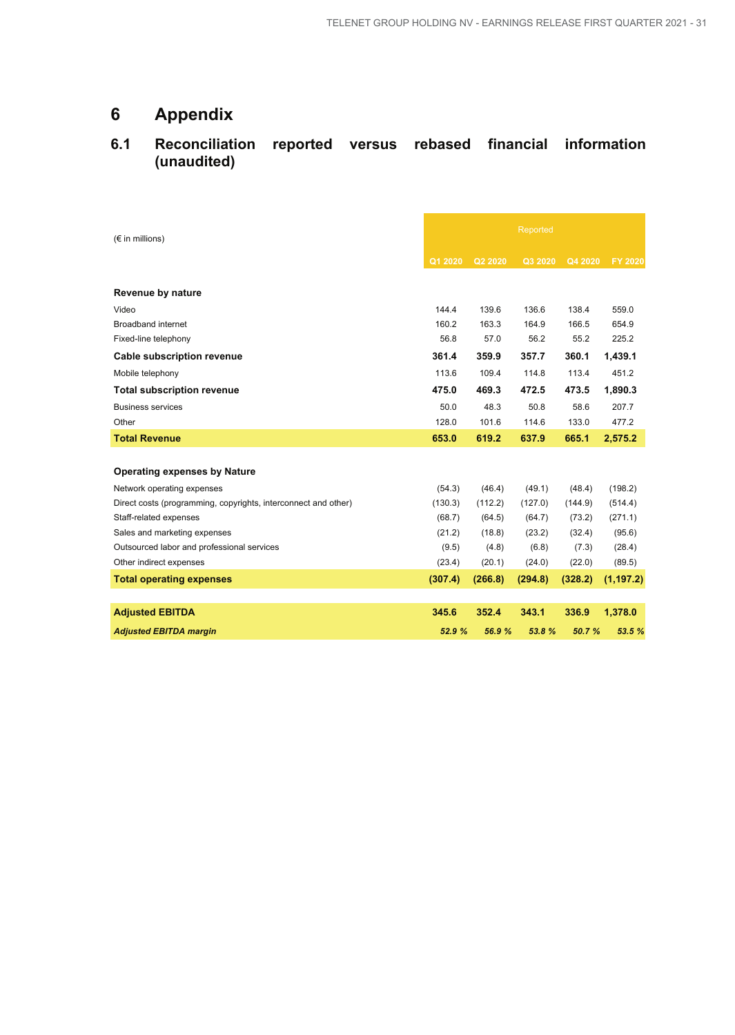## **6 Appendix**

## **6.1 Reconciliation reported versus rebased financial information (unaudited)**

| $(\epsilon$ in millions)                                       | Reported |         |         |         |            |
|----------------------------------------------------------------|----------|---------|---------|---------|------------|
|                                                                | Q1 2020  | Q2 2020 | Q3 2020 | Q4 2020 | FY 2020    |
| Revenue by nature                                              |          |         |         |         |            |
| Video                                                          | 144.4    | 139.6   | 136.6   | 138.4   | 559.0      |
| <b>Broadband internet</b>                                      | 160.2    | 163.3   | 164.9   | 166.5   | 654.9      |
| Fixed-line telephony                                           | 56.8     | 57.0    | 56.2    | 55.2    | 225.2      |
| <b>Cable subscription revenue</b>                              | 361.4    | 359.9   | 357.7   | 360.1   | 1,439.1    |
| Mobile telephony                                               | 113.6    | 109.4   | 114.8   | 113.4   | 451.2      |
| <b>Total subscription revenue</b>                              | 475.0    | 469.3   | 472.5   | 473.5   | 1,890.3    |
| <b>Business services</b>                                       | 50.0     | 48.3    | 50.8    | 58.6    | 207.7      |
| Other                                                          | 128.0    | 101.6   | 114.6   | 133.0   | 477.2      |
| <b>Total Revenue</b>                                           | 653.0    | 619.2   | 637.9   | 665.1   | 2,575.2    |
|                                                                |          |         |         |         |            |
| <b>Operating expenses by Nature</b>                            |          |         |         |         |            |
| Network operating expenses                                     | (54.3)   | (46.4)  | (49.1)  | (48.4)  | (198.2)    |
| Direct costs (programming, copyrights, interconnect and other) | (130.3)  | (112.2) | (127.0) | (144.9) | (514.4)    |
| Staff-related expenses                                         | (68.7)   | (64.5)  | (64.7)  | (73.2)  | (271.1)    |
| Sales and marketing expenses                                   | (21.2)   | (18.8)  | (23.2)  | (32.4)  | (95.6)     |
| Outsourced labor and professional services                     | (9.5)    | (4.8)   | (6.8)   | (7.3)   | (28.4)     |
| Other indirect expenses                                        | (23.4)   | (20.1)  | (24.0)  | (22.0)  | (89.5)     |
| <b>Total operating expenses</b>                                | (307.4)  | (266.8) | (294.8) | (328.2) | (1, 197.2) |
|                                                                |          |         |         |         |            |
| <b>Adjusted EBITDA</b>                                         | 345.6    | 352.4   | 343.1   | 336.9   | 1,378.0    |
| <b>Adjusted EBITDA margin</b>                                  | 52.9 %   | 56.9%   | 53.8%   | 50.7 %  | 53.5 %     |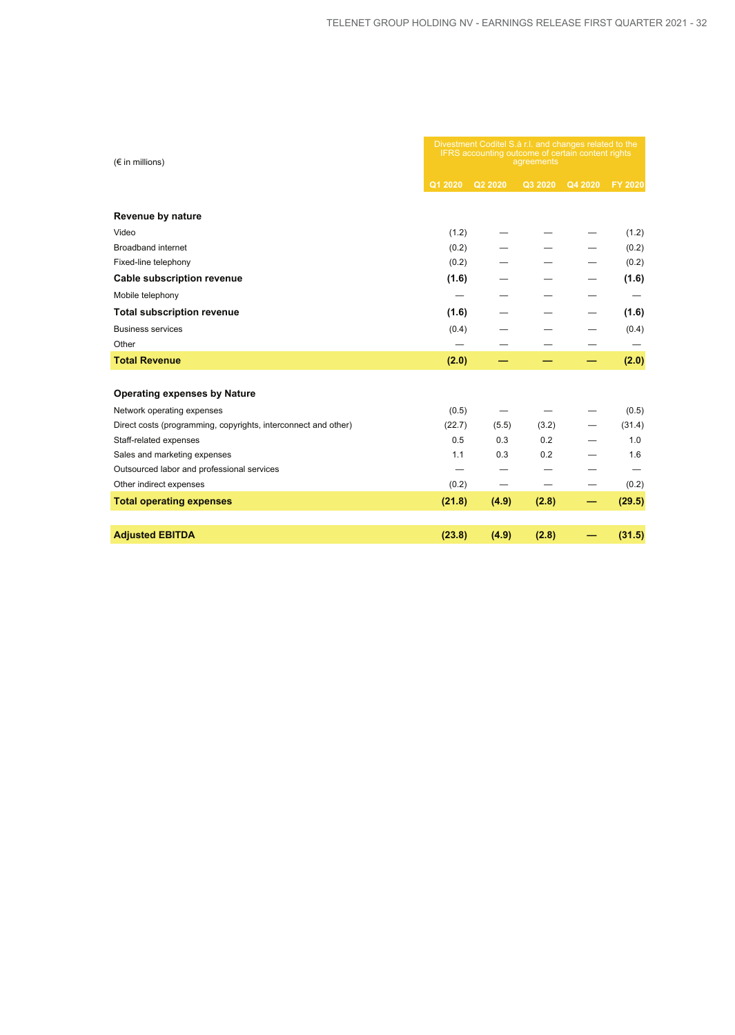| $(\epsilon$ in millions)                                       | Divestment Coditel S.à r.l. and changes related to the<br>IFRS accounting outcome of certain content rights<br>agreements |         |         |         |                |
|----------------------------------------------------------------|---------------------------------------------------------------------------------------------------------------------------|---------|---------|---------|----------------|
|                                                                | Q1 2020                                                                                                                   | Q2 2020 | Q3 2020 | Q4 2020 | <b>FY 2020</b> |
| Revenue by nature                                              |                                                                                                                           |         |         |         |                |
| Video                                                          | (1.2)                                                                                                                     |         |         |         | (1.2)          |
| <b>Broadband internet</b>                                      | (0.2)                                                                                                                     |         |         |         | (0.2)          |
| Fixed-line telephony                                           | (0.2)                                                                                                                     |         |         |         | (0.2)          |
| <b>Cable subscription revenue</b>                              | (1.6)                                                                                                                     |         |         |         | (1.6)          |
| Mobile telephony                                               |                                                                                                                           |         |         |         |                |
| <b>Total subscription revenue</b>                              | (1.6)                                                                                                                     |         |         |         | (1.6)          |
| <b>Business services</b>                                       | (0.4)                                                                                                                     |         |         |         | (0.4)          |
| Other                                                          |                                                                                                                           |         |         |         |                |
| <b>Total Revenue</b>                                           | (2.0)                                                                                                                     |         |         |         | (2.0)          |
|                                                                |                                                                                                                           |         |         |         |                |
| <b>Operating expenses by Nature</b>                            |                                                                                                                           |         |         |         |                |
| Network operating expenses                                     | (0.5)                                                                                                                     |         |         |         | (0.5)          |
| Direct costs (programming, copyrights, interconnect and other) | (22.7)                                                                                                                    | (5.5)   | (3.2)   |         | (31.4)         |
| Staff-related expenses                                         | 0.5                                                                                                                       | 0.3     | 0.2     |         | 1.0            |
| Sales and marketing expenses                                   | 1.1                                                                                                                       | 0.3     | 0.2     |         | 1.6            |
| Outsourced labor and professional services                     |                                                                                                                           |         |         |         |                |
| Other indirect expenses                                        | (0.2)                                                                                                                     |         |         |         | (0.2)          |
| <b>Total operating expenses</b>                                | (21.8)                                                                                                                    | (4.9)   | (2.8)   |         | (29.5)         |
|                                                                |                                                                                                                           |         |         |         |                |
| <b>Adjusted EBITDA</b>                                         | (23.8)                                                                                                                    | (4.9)   | (2.8)   |         | (31.5)         |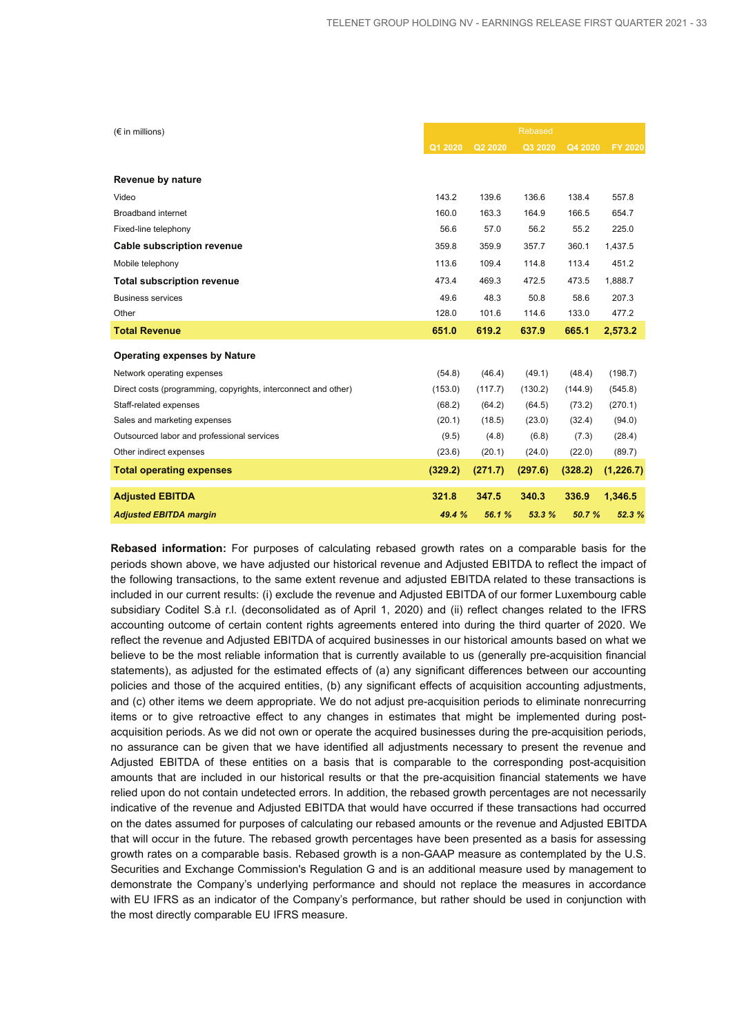| $(\epsilon$ in millions)                                       |         |         | <b>Rebased</b> |         |                |
|----------------------------------------------------------------|---------|---------|----------------|---------|----------------|
|                                                                | Q1 2020 | Q2 2020 | Q3 2020        | Q4 2020 | <b>FY 2020</b> |
|                                                                |         |         |                |         |                |
| Revenue by nature                                              |         |         |                |         |                |
| Video                                                          | 143.2   | 139.6   | 136.6          | 138.4   | 557.8          |
| <b>Broadband internet</b>                                      | 160.0   | 163.3   | 164.9          | 166.5   | 654.7          |
| Fixed-line telephony                                           | 56.6    | 57.0    | 56.2           | 55.2    | 225.0          |
| <b>Cable subscription revenue</b>                              | 359.8   | 359.9   | 357.7          | 360.1   | 1,437.5        |
| Mobile telephony                                               | 113.6   | 109.4   | 114.8          | 113.4   | 451.2          |
| <b>Total subscription revenue</b>                              | 473.4   | 469.3   | 472.5          | 473.5   | 1,888.7        |
| <b>Business services</b>                                       | 49.6    | 48.3    | 50.8           | 58.6    | 207.3          |
| Other                                                          | 128.0   | 101.6   | 114.6          | 133.0   | 477.2          |
| <b>Total Revenue</b>                                           | 651.0   | 619.2   | 637.9          | 665.1   | 2,573.2        |
| <b>Operating expenses by Nature</b>                            |         |         |                |         |                |
| Network operating expenses                                     | (54.8)  | (46.4)  | (49.1)         | (48.4)  | (198.7)        |
| Direct costs (programming, copyrights, interconnect and other) | (153.0) | (117.7) | (130.2)        | (144.9) | (545.8)        |
| Staff-related expenses                                         | (68.2)  | (64.2)  | (64.5)         | (73.2)  | (270.1)        |
| Sales and marketing expenses                                   | (20.1)  | (18.5)  | (23.0)         | (32.4)  | (94.0)         |
| Outsourced labor and professional services                     | (9.5)   | (4.8)   | (6.8)          | (7.3)   | (28.4)         |
| Other indirect expenses                                        | (23.6)  | (20.1)  | (24.0)         | (22.0)  | (89.7)         |
| <b>Total operating expenses</b>                                | (329.2) | (271.7) | (297.6)        | (328.2) | (1,226.7)      |
| <b>Adjusted EBITDA</b>                                         | 321.8   | 347.5   | 340.3          | 336.9   | 1,346.5        |
| <b>Adjusted EBITDA margin</b>                                  | 49.4 %  | 56.1 %  | 53.3 %         | 50.7 %  | 52.3 %         |

**Rebased information:** For purposes of calculating rebased growth rates on a comparable basis for the periods shown above, we have adjusted our historical revenue and Adjusted EBITDA to reflect the impact of the following transactions, to the same extent revenue and adjusted EBITDA related to these transactions is included in our current results: (i) exclude the revenue and Adjusted EBITDA of our former Luxembourg cable subsidiary Coditel S.à r.l. (deconsolidated as of April 1, 2020) and (ii) reflect changes related to the IFRS accounting outcome of certain content rights agreements entered into during the third quarter of 2020. We reflect the revenue and Adjusted EBITDA of acquired businesses in our historical amounts based on what we believe to be the most reliable information that is currently available to us (generally pre-acquisition financial statements), as adjusted for the estimated effects of (a) any significant differences between our accounting policies and those of the acquired entities, (b) any significant effects of acquisition accounting adjustments, and (c) other items we deem appropriate. We do not adjust pre-acquisition periods to eliminate nonrecurring items or to give retroactive effect to any changes in estimates that might be implemented during postacquisition periods. As we did not own or operate the acquired businesses during the pre-acquisition periods, no assurance can be given that we have identified all adjustments necessary to present the revenue and Adjusted EBITDA of these entities on a basis that is comparable to the corresponding post-acquisition amounts that are included in our historical results or that the pre-acquisition financial statements we have relied upon do not contain undetected errors. In addition, the rebased growth percentages are not necessarily indicative of the revenue and Adjusted EBITDA that would have occurred if these transactions had occurred on the dates assumed for purposes of calculating our rebased amounts or the revenue and Adjusted EBITDA that will occur in the future. The rebased growth percentages have been presented as a basis for assessing growth rates on a comparable basis. Rebased growth is a non-GAAP measure as contemplated by the U.S. Securities and Exchange Commission's Regulation G and is an additional measure used by management to demonstrate the Company's underlying performance and should not replace the measures in accordance with EU IFRS as an indicator of the Company's performance, but rather should be used in conjunction with the most directly comparable EU IFRS measure.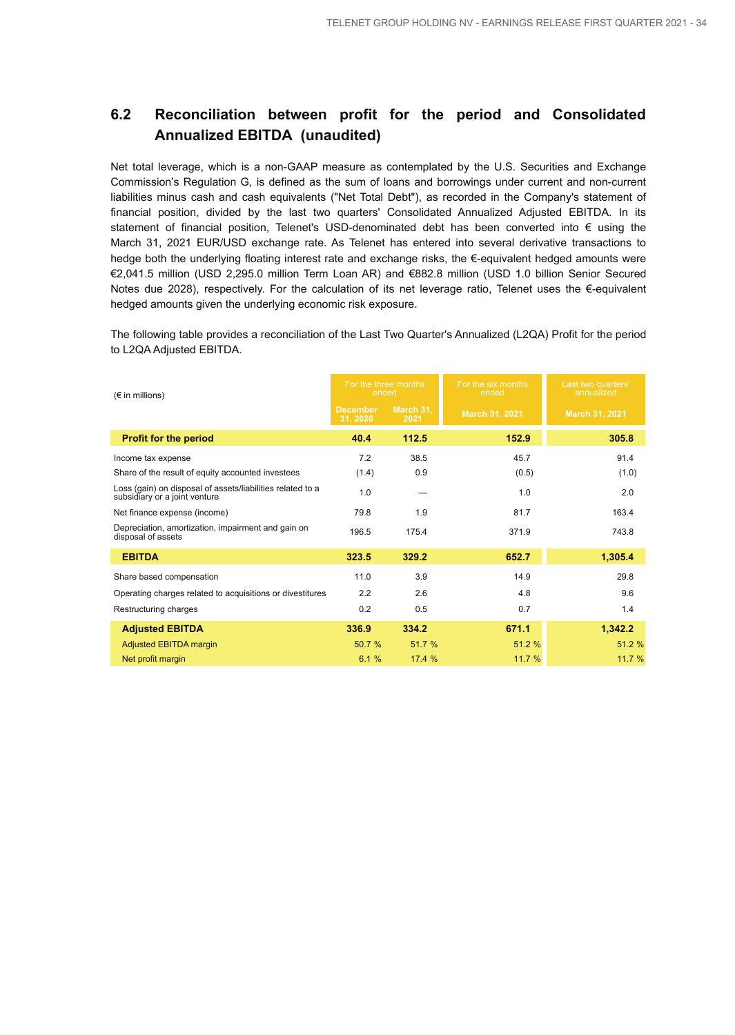## **6.2 Reconciliation between profit for the period and Consolidated Annualized EBITDA (unaudited)**

Net total leverage, which is a non-GAAP measure as contemplated by the U.S. Securities and Exchange Commission's Regulation G, is defined as the sum of loans and borrowings under current and non-current liabilities minus cash and cash equivalents ("Net Total Debt"), as recorded in the Company's statement of financial position, divided by the last two quarters' Consolidated Annualized Adjusted EBITDA. In its statement of financial position, Telenet's USD-denominated debt has been converted into € using the March 31, 2021 EUR/USD exchange rate. As Telenet has entered into several derivative transactions to hedge both the underlying floating interest rate and exchange risks, the €-equivalent hedged amounts were €2,041.5 million (USD 2,295.0 million Term Loan AR) and €882.8 million (USD 1.0 billion Senior Secured Notes due 2028), respectively. For the calculation of its net leverage ratio, Telenet uses the €-equivalent hedged amounts given the underlying economic risk exposure.

The following table provides a reconciliation of the Last Two Quarter's Annualized (L2QA) Profit for the period to L2QA Adjusted EBITDA.

| $(\epsilon$ in millions)                                                                    | For the three months<br>ended |                   |                |                | For the six months<br>ended | Last two quarters'<br>annualized |
|---------------------------------------------------------------------------------------------|-------------------------------|-------------------|----------------|----------------|-----------------------------|----------------------------------|
|                                                                                             | <b>December</b><br>31, 2020   | March 31,<br>2021 | March 31, 2021 | March 31, 2021 |                             |                                  |
| <b>Profit for the period</b>                                                                | 40.4                          | 112.5             | 152.9          | 305.8          |                             |                                  |
| Income tax expense                                                                          | 7.2                           | 38.5              | 45.7           | 91.4           |                             |                                  |
| Share of the result of equity accounted investees                                           | (1.4)                         | 0.9               | (0.5)          | (1.0)          |                             |                                  |
| Loss (gain) on disposal of assets/liabilities related to a<br>subsidiary or a joint venture | 1.0                           |                   | 1.0            | 2.0            |                             |                                  |
| Net finance expense (income)                                                                | 79.8                          | 1.9               | 81.7           | 163.4          |                             |                                  |
| Depreciation, amortization, impairment and gain on<br>disposal of assets                    | 196.5                         | 175.4             | 371.9          | 743.8          |                             |                                  |
| <b>EBITDA</b>                                                                               | 323.5                         | 329.2             | 652.7          | 1,305.4        |                             |                                  |
| Share based compensation                                                                    | 11.0                          | 3.9               | 14.9           | 29.8           |                             |                                  |
| Operating charges related to acquisitions or divestitures                                   | 2.2                           | 2.6               | 4.8            | 9.6            |                             |                                  |
| Restructuring charges                                                                       | 0.2                           | 0.5               | 0.7            | 1.4            |                             |                                  |
| <b>Adjusted EBITDA</b>                                                                      | 336.9                         | 334.2             | 671.1          | 1,342.2        |                             |                                  |
| Adjusted EBITDA margin                                                                      | 50.7 %                        | 51.7 %            | 51.2 %         | 51.2 %         |                             |                                  |
| Net profit margin                                                                           | 6.1%                          | 17.4 %            | 11.7 %         | 11.7 %         |                             |                                  |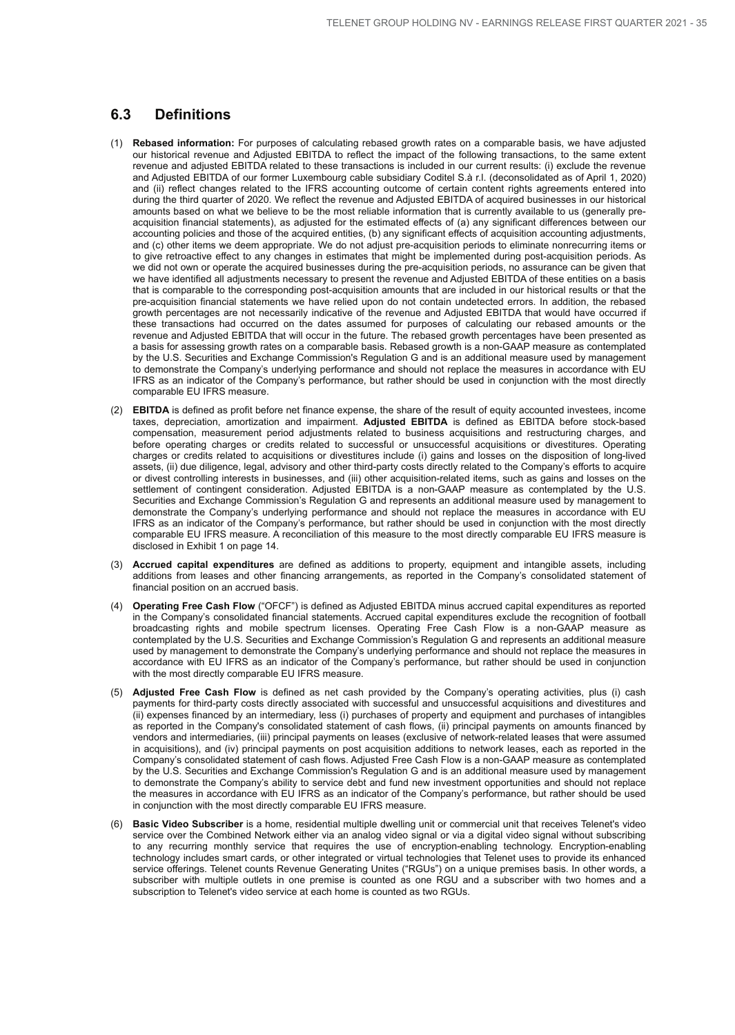## **6.3 Definitions**

- (1) **Rebased information:** For purposes of calculating rebased growth rates on a comparable basis, we have adjusted our historical revenue and Adjusted EBITDA to reflect the impact of the following transactions, to the same extent revenue and adjusted EBITDA related to these transactions is included in our current results: (i) exclude the revenue and Adjusted EBITDA of our former Luxembourg cable subsidiary Coditel S.à r.l. (deconsolidated as of April 1, 2020) and (ii) reflect changes related to the IFRS accounting outcome of certain content rights agreements entered into during the third quarter of 2020. We reflect the revenue and Adjusted EBITDA of acquired businesses in our historical amounts based on what we believe to be the most reliable information that is currently available to us (generally preacquisition financial statements), as adjusted for the estimated effects of (a) any significant differences between our accounting policies and those of the acquired entities, (b) any significant effects of acquisition accounting adjustments, and (c) other items we deem appropriate. We do not adjust pre-acquisition periods to eliminate nonrecurring items or to give retroactive effect to any changes in estimates that might be implemented during post-acquisition periods. As we did not own or operate the acquired businesses during the pre-acquisition periods, no assurance can be given that we have identified all adjustments necessary to present the revenue and Adjusted EBITDA of these entities on a basis that is comparable to the corresponding post-acquisition amounts that are included in our historical results or that the pre-acquisition financial statements we have relied upon do not contain undetected errors. In addition, the rebased growth percentages are not necessarily indicative of the revenue and Adjusted EBITDA that would have occurred if these transactions had occurred on the dates assumed for purposes of calculating our rebased amounts or the revenue and Adjusted EBITDA that will occur in the future. The rebased growth percentages have been presented as a basis for assessing growth rates on a comparable basis. Rebased growth is a non-GAAP measure as contemplated by the U.S. Securities and Exchange Commission's Regulation G and is an additional measure used by management to demonstrate the Company's underlying performance and should not replace the measures in accordance with EU IFRS as an indicator of the Company's performance, but rather should be used in conjunction with the most directly comparable EU IFRS measure.
- (2) **EBITDA** is defined as profit before net finance expense, the share of the result of equity accounted investees, income taxes, depreciation, amortization and impairment. **Adjusted EBITDA** is defined as EBITDA before stock-based compensation, measurement period adjustments related to business acquisitions and restructuring charges, and before operating charges or credits related to successful or unsuccessful acquisitions or divestitures. Operating charges or credits related to acquisitions or divestitures include (i) gains and losses on the disposition of long-lived assets, (ii) due diligence, legal, advisory and other third-party costs directly related to the Company's efforts to acquire or divest controlling interests in businesses, and (iii) other acquisition-related items, such as gains and losses on the settlement of contingent consideration. Adjusted EBITDA is a non-GAAP measure as contemplated by the U.S. Securities and Exchange Commission's Regulation G and represents an additional measure used by management to demonstrate the Company's underlying performance and should not replace the measures in accordance with EU IFRS as an indicator of the Company's performance, but rather should be used in conjunction with the most directly comparable EU IFRS measure. A reconciliation of this measure to the most directly comparable EU IFRS measure is disclosed in Exhibit 1 on page 14.
- (3) **Accrued capital expenditures** are defined as additions to property, equipment and intangible assets, including additions from leases and other financing arrangements, as reported in the Company's consolidated statement of financial position on an accrued basis.
- (4) **Operating Free Cash Flow** ("OFCF") is defined as Adjusted EBITDA minus accrued capital expenditures as reported in the Company's consolidated financial statements. Accrued capital expenditures exclude the recognition of football broadcasting rights and mobile spectrum licenses. Operating Free Cash Flow is a non-GAAP measure as contemplated by the U.S. Securities and Exchange Commission's Regulation G and represents an additional measure used by management to demonstrate the Company's underlying performance and should not replace the measures in accordance with EU IFRS as an indicator of the Company's performance, but rather should be used in conjunction with the most directly comparable EU IFRS measure.
- (5) **Adjusted Free Cash Flow** is defined as net cash provided by the Company's operating activities, plus (i) cash payments for third-party costs directly associated with successful and unsuccessful acquisitions and divestitures and (ii) expenses financed by an intermediary, less (i) purchases of property and equipment and purchases of intangibles as reported in the Company's consolidated statement of cash flows, (ii) principal payments on amounts financed by vendors and intermediaries, (iii) principal payments on leases (exclusive of network-related leases that were assumed in acquisitions), and (iv) principal payments on post acquisition additions to network leases, each as reported in the Company's consolidated statement of cash flows. Adjusted Free Cash Flow is a non-GAAP measure as contemplated by the U.S. Securities and Exchange Commission's Regulation G and is an additional measure used by management to demonstrate the Company's ability to service debt and fund new investment opportunities and should not replace the measures in accordance with EU IFRS as an indicator of the Company's performance, but rather should be used in conjunction with the most directly comparable EU IFRS measure.
- (6) **Basic Video Subscriber** is a home, residential multiple dwelling unit or commercial unit that receives Telenet's video service over the Combined Network either via an analog video signal or via a digital video signal without subscribing to any recurring monthly service that requires the use of encryption-enabling technology. Encryption-enabling technology includes smart cards, or other integrated or virtual technologies that Telenet uses to provide its enhanced service offerings. Telenet counts Revenue Generating Unites ("RGUs") on a unique premises basis. In other words, a subscriber with multiple outlets in one premise is counted as one RGU and a subscriber with two homes and a subscription to Telenet's video service at each home is counted as two RGUs.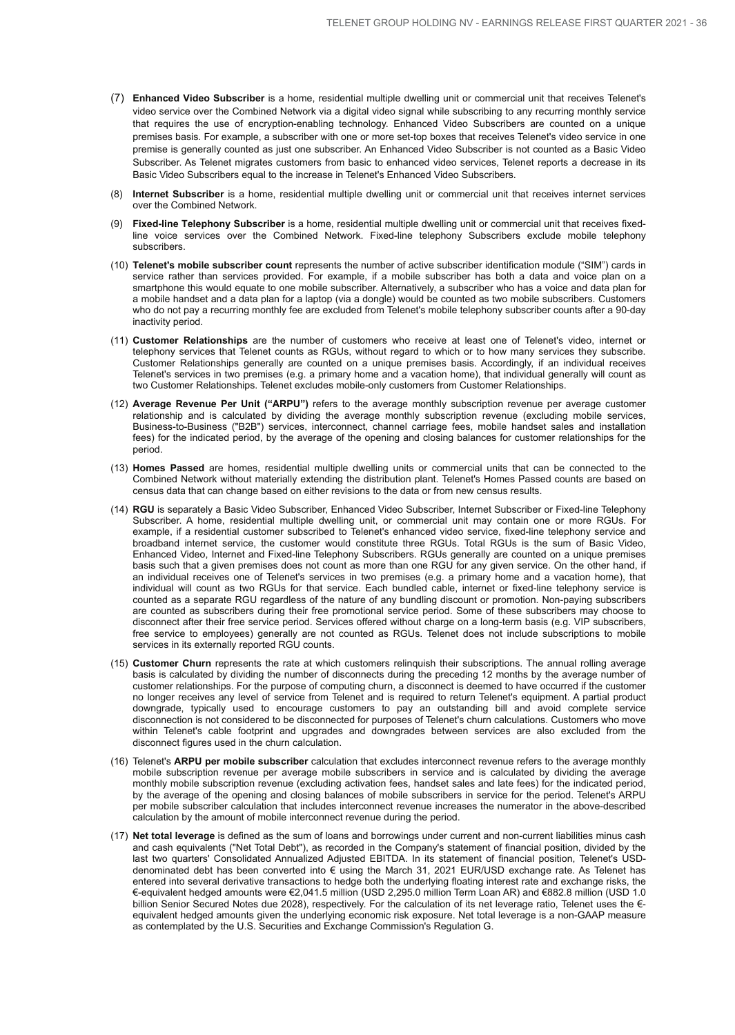- (7) **Enhanced Video Subscriber** is a home, residential multiple dwelling unit or commercial unit that receives Telenet's video service over the Combined Network via a digital video signal while subscribing to any recurring monthly service that requires the use of encryption-enabling technology. Enhanced Video Subscribers are counted on a unique premises basis. For example, a subscriber with one or more set-top boxes that receives Telenet's video service in one premise is generally counted as just one subscriber. An Enhanced Video Subscriber is not counted as a Basic Video Subscriber. As Telenet migrates customers from basic to enhanced video services, Telenet reports a decrease in its Basic Video Subscribers equal to the increase in Telenet's Enhanced Video Subscribers.
- (8) **Internet Subscriber** is a home, residential multiple dwelling unit or commercial unit that receives internet services over the Combined Network.
- (9) **Fixed-line Telephony Subscriber** is a home, residential multiple dwelling unit or commercial unit that receives fixedline voice services over the Combined Network. Fixed-line telephony Subscribers exclude mobile telephony subscribers.
- (10) **Telenet's mobile subscriber count** represents the number of active subscriber identification module ("SIM") cards in service rather than services provided. For example, if a mobile subscriber has both a data and voice plan on a smartphone this would equate to one mobile subscriber. Alternatively, a subscriber who has a voice and data plan for a mobile handset and a data plan for a laptop (via a dongle) would be counted as two mobile subscribers. Customers who do not pay a recurring monthly fee are excluded from Telenet's mobile telephony subscriber counts after a 90-day inactivity period.
- (11) **Customer Relationships** are the number of customers who receive at least one of Telenet's video, internet or telephony services that Telenet counts as RGUs, without regard to which or to how many services they subscribe. Customer Relationships generally are counted on a unique premises basis. Accordingly, if an individual receives Telenet's services in two premises (e.g. a primary home and a vacation home), that individual generally will count as two Customer Relationships. Telenet excludes mobile-only customers from Customer Relationships.
- (12) **Average Revenue Per Unit ("ARPU")** refers to the average monthly subscription revenue per average customer relationship and is calculated by dividing the average monthly subscription revenue (excluding mobile services, Business-to-Business ("B2B") services, interconnect, channel carriage fees, mobile handset sales and installation fees) for the indicated period, by the average of the opening and closing balances for customer relationships for the period.
- (13) **Homes Passed** are homes, residential multiple dwelling units or commercial units that can be connected to the Combined Network without materially extending the distribution plant. Telenet's Homes Passed counts are based on census data that can change based on either revisions to the data or from new census results.
- (14) **RGU** is separately a Basic Video Subscriber, Enhanced Video Subscriber, Internet Subscriber or Fixed-line Telephony Subscriber. A home, residential multiple dwelling unit, or commercial unit may contain one or more RGUs. For example, if a residential customer subscribed to Telenet's enhanced video service, fixed-line telephony service and broadband internet service, the customer would constitute three RGUs. Total RGUs is the sum of Basic Video, Enhanced Video, Internet and Fixed-line Telephony Subscribers. RGUs generally are counted on a unique premises basis such that a given premises does not count as more than one RGU for any given service. On the other hand, if an individual receives one of Telenet's services in two premises (e.g. a primary home and a vacation home), that individual will count as two RGUs for that service. Each bundled cable, internet or fixed-line telephony service is counted as a separate RGU regardless of the nature of any bundling discount or promotion. Non-paying subscribers are counted as subscribers during their free promotional service period. Some of these subscribers may choose to disconnect after their free service period. Services offered without charge on a long-term basis (e.g. VIP subscribers, free service to employees) generally are not counted as RGUs. Telenet does not include subscriptions to mobile services in its externally reported RGU counts.
- (15) **Customer Churn** represents the rate at which customers relinquish their subscriptions. The annual rolling average basis is calculated by dividing the number of disconnects during the preceding 12 months by the average number of customer relationships. For the purpose of computing churn, a disconnect is deemed to have occurred if the customer no longer receives any level of service from Telenet and is required to return Telenet's equipment. A partial product downgrade, typically used to encourage customers to pay an outstanding bill and avoid complete service disconnection is not considered to be disconnected for purposes of Telenet's churn calculations. Customers who move within Telenet's cable footprint and upgrades and downgrades between services are also excluded from the disconnect figures used in the churn calculation.
- (16) Telenet's **ARPU per mobile subscriber** calculation that excludes interconnect revenue refers to the average monthly mobile subscription revenue per average mobile subscribers in service and is calculated by dividing the average monthly mobile subscription revenue (excluding activation fees, handset sales and late fees) for the indicated period, by the average of the opening and closing balances of mobile subscribers in service for the period. Telenet's ARPU per mobile subscriber calculation that includes interconnect revenue increases the numerator in the above-described calculation by the amount of mobile interconnect revenue during the period.
- (17) **Net total leverage** is defined as the sum of loans and borrowings under current and non-current liabilities minus cash and cash equivalents ("Net Total Debt"), as recorded in the Company's statement of financial position, divided by the last two quarters' Consolidated Annualized Adjusted EBITDA. In its statement of financial position, Telenet's USDdenominated debt has been converted into € using the March 31, 2021 EUR/USD exchange rate. As Telenet has entered into several derivative transactions to hedge both the underlying floating interest rate and exchange risks, the €-equivalent hedged amounts were €2,041.5 million (USD 2,295.0 million Term Loan AR) and €882.8 million (USD 1.0 billion Senior Secured Notes due 2028), respectively. For the calculation of its net leverage ratio, Telenet uses the € equivalent hedged amounts given the underlying economic risk exposure. Net total leverage is a non-GAAP measure as contemplated by the U.S. Securities and Exchange Commission's Regulation G.